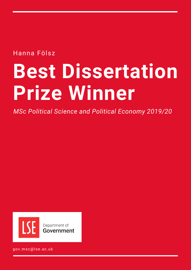Hanna Fölsz

# **Best Dissertation Prize Winner**

*MSc Political Science and Political Economy 2019/20*



gov.msc@lse.ac.uk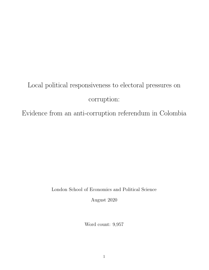# Local political responsiveness to electoral pressures on corruption:

Evidence from an anti-corruption referendum in Colombia

London School of Economics and Political Science

August 2020

Word count: 9,957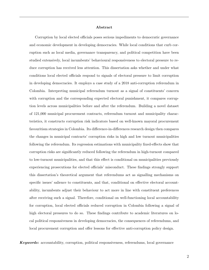#### Abstract Anonymous code: 448922

Corruption by local elected officials poses serious impediments to democratic governance and economic development in developing democracies. While local conditions that curb corruption such as local media, governance transparency, and political competition have been studied extensively, local incumbents' behavioural responsiveness to electoral pressure to reduce corruption has received less attention. This dissertation asks whether and under what conditions local elected officials respond to signals of electoral pressure to limit corruption in developing democracies. It employs a case study of a 2018 anti-corruption referendum in Colombia. Interpreting municipal referendum turnout as a signal of constituents' concern with corruption and the corresponding expected electoral punishment, it compares corruption levels across municipalities before and after the referendum. Building a novel dataset of 121,000 municipal procurement contracts, referendum turnout and municipality characteristics, it constructs corruption risk indicators based on well-known mayoral procurement favouritism strategies in Colombia. Its difference-in-differences research design then compares the changes in municipal contracts' corruption risks in high and low turnout municipalities following the referendum. Its regression estimations with municipality fixed-effects show that corruption risks are significantly reduced following the referendum in high-turnout compared to low-turnout municipalities, and that this effect is conditional on municipalities previously experiencing prosecutions for elected officials' misconduct. These findings strongly support this dissertation's theoretical argument that referendums act as signalling mechanisms on specific issues' salience to constituents, and that, conditional on effective electoral accountability, incumbents adjust their behaviour to act more in line with constituent preferences after receiving such a signal. Therefore, conditional on well-functioning local accountability for corruption, local elected officials reduced corruption in Colombia following a signal of high electoral pressures to do so. These findings contribute to academic literatures on local political responsiveness in developing democracies, the consequences of referendums, and local procurement corruption and offer lessons for effective anti-corruption policy design.

**Keywords:** accountability, corruption, political responsiveness, referendums, local governance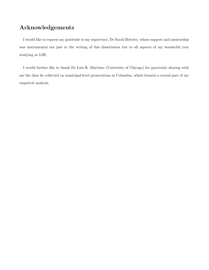## Acknowledgements

I would like to express my gratitude to my supervisor, Dr Sarah Brierley, whose support and mentorship was instrumental not just to the writing of this dissertation but to all aspects of my wonderful year studying at LSE.

I would further like to thank Dr Luis R. Martinez (University of Chicago) for graciously sharing with me the data he collected on municipal-level prosecutions in Colombia, which formed a crucial part of my empirical analysis.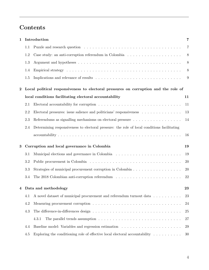# **Contents**

| 1        | Introduction<br>7 |                                                                                                             |           |  |  |
|----------|-------------------|-------------------------------------------------------------------------------------------------------------|-----------|--|--|
|          | 1.1               |                                                                                                             | 7         |  |  |
|          | 1.2               |                                                                                                             | 8         |  |  |
|          | 1.3               |                                                                                                             | 8         |  |  |
|          | 1.4               |                                                                                                             | 8         |  |  |
|          | 1.5               |                                                                                                             | 9         |  |  |
| $\bf{2}$ |                   | Local political responsiveness to electoral pressures on corruption and the role of                         |           |  |  |
|          |                   | local conditions facilitating electoral accountability                                                      | 11        |  |  |
|          | 2.1               |                                                                                                             | 11        |  |  |
|          | 2.2               | Electoral pressures: issue salience and politicians' responsiveness                                         | 13        |  |  |
|          | 2.3               | Referendums as signalling mechanisms on electoral pressure                                                  | 14        |  |  |
|          | 2.4               | Determining responsiveness to electoral pressure: the role of local conditions facilitating                 |           |  |  |
|          |                   |                                                                                                             | 16        |  |  |
| 3        |                   | Corruption and local governance in Colombia                                                                 | 19        |  |  |
|          | 3.1               |                                                                                                             | 19        |  |  |
|          | 3.2               |                                                                                                             | 20        |  |  |
|          | 3.3               | Strategies of municipal procurement corruption in Colombia                                                  | <b>20</b> |  |  |
|          | 3.4               | The 2018 Colombian anti-corruption referendum                                                               | 22        |  |  |
|          |                   | 4 Data and methodology                                                                                      | 23        |  |  |
|          | 4.1               | A novel dataset of municipal procurement and referendum turnout data                                        | 23        |  |  |
|          | 4.2               |                                                                                                             | 24        |  |  |
|          | 4.3               |                                                                                                             | 25        |  |  |
|          |                   | The parallel trends assumption $\dots \dots \dots \dots \dots \dots \dots \dots \dots \dots \dots$<br>4.3.1 | 27        |  |  |
|          | 4.4               |                                                                                                             | 29        |  |  |
|          | 4.5               | Exploring the conditioning role of effective local electoral accountability $\dots \dots \dots$             | 30        |  |  |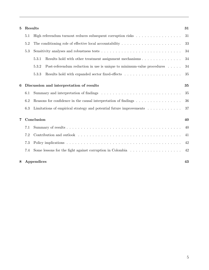| 5 |     | Results<br>31                                                                         |                                                                                                                 |    |  |  |  |  |  |
|---|-----|---------------------------------------------------------------------------------------|-----------------------------------------------------------------------------------------------------------------|----|--|--|--|--|--|
|   | 5.1 |                                                                                       | High referendum turnout reduces subsequent corruption risks $\dots \dots \dots \dots \dots$                     | 31 |  |  |  |  |  |
|   | 5.2 |                                                                                       | The conditioning role of effective local accountability $\dots \dots \dots \dots \dots \dots \dots \dots$<br>33 |    |  |  |  |  |  |
|   | 5.3 |                                                                                       |                                                                                                                 | 34 |  |  |  |  |  |
|   |     | Results hold with other treatment assignment mechanisms<br>5.3.1<br>34                |                                                                                                                 |    |  |  |  |  |  |
|   |     | Post-referendum reduction in use is unique to minimum-value procedures<br>34<br>5.3.2 |                                                                                                                 |    |  |  |  |  |  |
|   |     | 5.3.3                                                                                 |                                                                                                                 | 35 |  |  |  |  |  |
|   |     |                                                                                       |                                                                                                                 | 35 |  |  |  |  |  |
| 6 |     | Discussion and interpretation of results                                              |                                                                                                                 |    |  |  |  |  |  |
|   | 6.1 |                                                                                       | Summary and interpretation of findings $\ldots \ldots \ldots \ldots \ldots \ldots \ldots \ldots \ldots \ldots$  | 35 |  |  |  |  |  |
|   | 6.2 |                                                                                       | Reasons for confidence in the causal interpretation of findings $\dots \dots \dots \dots \dots$                 | 36 |  |  |  |  |  |
|   | 6.3 |                                                                                       | Limitations of empirical strategy and potential future improvements $\dots \dots \dots$                         | 37 |  |  |  |  |  |
| 7 |     | Conclusion                                                                            |                                                                                                                 | 40 |  |  |  |  |  |
|   |     |                                                                                       |                                                                                                                 |    |  |  |  |  |  |
|   | 7.1 |                                                                                       |                                                                                                                 | 40 |  |  |  |  |  |
|   | 7.2 | 41                                                                                    |                                                                                                                 |    |  |  |  |  |  |
|   | 7.3 | 42                                                                                    |                                                                                                                 |    |  |  |  |  |  |
|   | 7.4 |                                                                                       | Some lessons for the fight against corruption in Colombia $\dots \dots \dots \dots \dots \dots$                 | 42 |  |  |  |  |  |
| 8 |     | Appendices                                                                            |                                                                                                                 | 43 |  |  |  |  |  |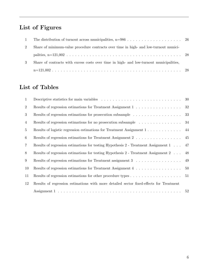# List of Figures

| $\mathbf{1}$ |                                                                                         |  |
|--------------|-----------------------------------------------------------------------------------------|--|
| 2            | Share of minimum-value procedure contracts over time in high- and low-turnout munici-   |  |
|              |                                                                                         |  |
| 3            | Share of contracts with excess costs over time in high- and low-turnout municipalities, |  |
|              |                                                                                         |  |

# List of Tables

| 1               |                                                                                         | 30 |
|-----------------|-----------------------------------------------------------------------------------------|----|
| $\overline{2}$  | Results of regression estimations for Treatment Assignment 1                            | 32 |
| 3               |                                                                                         | 33 |
| 4               | Results of regression estimations for no prosecution subsample                          | 34 |
| $5\overline{)}$ | Results of logistic regression estimations for Treatment Assignment 1                   | 44 |
| 6               | Results of regression estimations for Treatment Assignment 2 45                         |    |
| $\overline{7}$  | Results of regression estimations for testing Hypothesis 2 - Treatment Assignment 1     | 47 |
| 8               | Results of regression estimations for testing Hypothesis 2 - Treatment Assignment 2     | 48 |
| 9               | Results of regression estimations for Treatment assignment 3                            | 49 |
| 10              | Results of regression estimations for Treatment Assignment 4                            | 50 |
| 11              |                                                                                         | 51 |
| 12              | Results of regression estimations with more detailed sector fixed-effects for Treatment |    |
|                 |                                                                                         | 52 |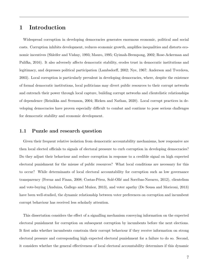## 1 Introduction

Widespread corruption in developing democracies generates enormous economic, political and social costs. Corruption inhibits development, reduces economic growth, amplifies inequalities and distorts economic incentives (Shleifer and Vishny, 1993; Mauro, 1995; Gyimah-Brempong, 2002; Rose-Ackerman and Palifka, 2016). It also adversely affects democratic stability, erodes trust in democratic institutions and legitimacy, and depresses political participation (Lambsdorff, 2002; Nye, 1967; Anderson and Tverdova, 2003). Local corruption is particularly prevalent in developing democracies, where, despite the existence of formal democratic institutions, local politicians may divert public resources to their corrupt networks and entrench their power through local capture, building corrupt networks and clientelistic relationships of dependence (Reinikka and Svensson, 2004; Hicken and Nathan, 2020). Local corrupt practices in developing democracies have proven especially difficult to combat and continue to pose serious challenges for democratic stability and economic development.

#### 1.1 Puzzle and research question

Given their frequent relative isolation from democratic accountability mechanisms, how responsive are then local elected officials to signals of electoral pressure to curb corruption in developing democracies? Do they adjust their behaviour and reduce corruption in response to a credible signal on high expected electoral punishment for the misuse of public resources? What local conditions are necessary for this to occur? While determinants of local electoral accountability for corruption such as low governance transparency (Ferraz and Finan, 2008; Costas-Pérez, Solé-Ollé and Sorribas-Navarro, 2012), clientelism and vote-buying (Anduiza, Gallego and Muñoz, 2013), and voter apathy (De Sousa and Moriconi, 2013) have been well-studied, the dynamic relationship between voter preferences on corruption and incumbent corrupt behaviour has received less scholarly attention.

This dissertation considers the effect of a signalling mechanism conveying information on the expected electoral punishment for corruption on subsequent corruption by incumbents before the next elections. It first asks whether incumbents constrain their corrupt behaviour if they receive information on strong electoral pressure and corresponding high expected electoral punishment for a failure to do so. Second, it considers whether the general effectiveness of local electoral accountability determines if this dynamic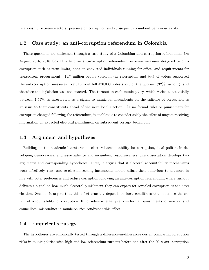relationship between electoral pressure on corruption and subsequent incumbent behaviour exists.

## 1.2 Case study: an anti-corruption referendum in Colombia

These questions are addressed through a case study of a Colombian anti-corruption referendum. On August 26th, 2018 Colombia held an anti-corruption referendum on seven measures designed to curb corruption such as term limits, bans on convicted individuals running for office, and requirements for transparent procurement. 11.7 million people voted in the referendum and 99% of voters supported the anti-corruption measures. Yet, turnout fell 470,000 votes short of the quorum (32% turnout), and therefore the legislation was not enacted. The turnout in each municipality, which varied substantially between 4-55%, is interpreted as a signal to municipal incumbents on the salience of corruption as an issue to their constituents ahead of the next local election. As no formal rules or punishment for corruption changed following the referendum, it enables us to consider solely the effect of mayors receiving information on expected electoral punishment on subsequent corrupt behaviour.

## 1.3 Argument and hypotheses

Building on the academic literatures on electoral accountability for corruption, local politics in developing democracies, and issue salience and incumbent responsiveness, this dissertation develops two arguments and corresponding hypotheses. First, it argues that if electoral accountability mechanisms work effectively, rent- and re-election-seeking incumbents should adjust their behaviour to act more in line with voter preferences and reduce corruption following an anti-corruption referendum, where turnout delivers a signal on how much electoral punishment they can expect for revealed corruption at the next election. Second, it argues that this effect crucially depends on local conditions that influence the extent of accountability for corruption. It considers whether previous formal punishments for mayors' and councillors' misconduct in municipalities conditions this effect.

## 1.4 Empirical strategy

The hypotheses are empirically tested through a difference-in-differences design comparing corruption risks in municipalities with high and low referendum turnout before and after the 2018 anti-corruption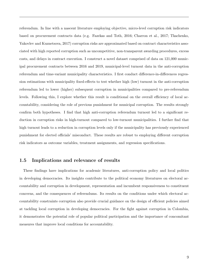referendum. In line with a nascent literature employing objective, micro-level corruption risk indicators based on procurement contracts data (e.g. Fazekas and Toth, 2016; Charron et al., 2017; Tkachenko, Yakovlev and Kuznetsova, 2017) corruption risks are approximated based on contract characteristics associated with high reported corruption such as uncompetitive, non-transparent awarding procedures, excess costs, and delays in contract execution. I construct a novel dataset comprised of data on 121,000 municipal procurement contracts between 2016 and 2019, municipal-level turnout data in the anti-corruption referendum and time-variant municipality characteristics. I first conduct difference-in-differences regression estimations with municipality fixed-effects to test whether high (low) turnout in the anti-corruption referendum led to lower (higher) subsequent corruption in municipalities compared to pre-referendum levels. Following this, I explore whether this result is conditional on the overall efficiency of local accountability, considering the role of previous punishment for municipal corruption. The results strongly confirm both hypotheses. I find that high anti-corruption referendum turnout led to a significant reduction in corruption risks in high-turnout compared to low-turnout municipalities. I further find that high turnout leads to a reduction in corruption levels only if the municipality has previously experienced punishment for elected officials' misconduct. These results are robust to employing different corruption risk indicators as outcome variables, treatment assignments, and regression specifications.

## 1.5 Implications and relevance of results

These findings have implications for academic literatures, anti-corruption policy and local politics in developing democracies. Its insights contribute to the political economy literatures on electoral accountability and corruption in development, representation and incumbent responsiveness to constituent concerns, and the consequences of referendums. Its results on the conditions under which electoral accountability constraints corruption also provide crucial guidance on the design of efficient policies aimed at tackling local corruption in developing democracies. For the fight against corruption in Colombia, it demonstrates the potential role of popular political participation and the importance of concomitant measures that improve local conditions for accountability.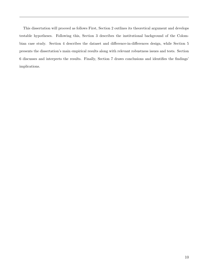This dissertation will proceed as follows First, Section 2 outlines its theoretical argument and develops testable hypotheses. Following this, Section 3 describes the institutional background of the Colombian case study. Section 4 describes the dataset and difference-in-differences design, while Section 5 presents the dissertation's main empirical results along with relevant robustness issues and tests. Section 6 discusses and interprets the results. Finally, Section 7 draws conclusions and identifies the findings' implications.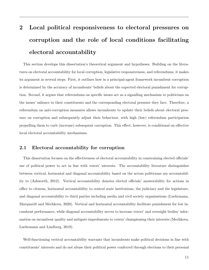# 2 Local political responsiveness to electoral pressures on corruption and the role of local conditions facilitating electoral accountability

This section develops this dissertation's theoretical argument and hypotheses. Building on the literatures on electoral accountability for local corruption, legislative responsiveness, and referendums, it makes its argument in several steps. First, it outlines how in a principal-agent framework incumbent corruption is determined by the accuracy of incumbents' beliefs about the expected electoral punishment for corruption. Second, it argues that referendums on specific issues act as a signalling mechanism to politicians on the issues' salience to their constituents and the corresponding electoral pressure they face. Therefore, a referendum on anti-corruption measures allows incumbents to update their beliefs about electoral pressure on corruption and subsequently adjust their behaviour, with high (low) referendum participation propelling them to curb (increase) subsequent corruption. This effect, however, is conditional on effective local electoral accountability mechanisms.

## 2.1 Electoral accountability for corruption

This dissertation focuses on the effectiveness of electoral accountability in constraining elected officials' use of political power to act in line with voters' interests. The accountability literature distinguishes between vertical, horizontal and diagonal accountability based on the actors politicians are accountability to (Ashworth, 2012). Vertical accountability denotes elected officials' answerability for actions in office to citizens, horizontal accountability to central state institutions, the judiciary and the legislature, and diagonal accountability to third parties including media and civil society organisations (Luehrmann, Marquardt and Mechkova, 2020). Vertical and horizontal accountability facilitate punishment for low incumbent performance, while diagonal accountability serves to increase voters' and oversight bodies' information on incumbent quality and mitigate impediments to voters' championing their interests (Mechkova, Luehrmann and Lindberg, 2019).

Well-functioning vertical accountability warrants that incumbents make political decisions in line with constituents' interests and do not abuse their political power conferred through elections to their personal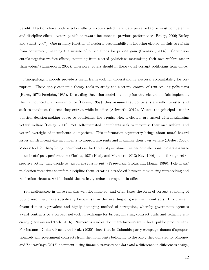benefit. Elections have both selection effects – voters select candidate perceived to be most competent – and discipline effect – voters punish or reward incumbents' previous performance (Besley, 2006; Besley and Smart, 2007). One primary function of electoral accountability is inducing elected officials to refrain from corruption, meaning the misuse of public funds for private gain (Svensson, 2005). Corruption entails negative welfare effects, stemming from elected politicians maximising their own welfare rather than voters' (Lambsdorff, 2002). Therefore, voters should in theory oust corrupt politicians from office.

Principal-agent models provide a useful framework for understanding electoral accountability for corruption. These apply economic theory tools to study the electoral control of rent-seeking politicians (Barro, 1973; Ferejohn, 1986). Discarding Downsian models' assumption that elected officials implement their announced platforms in office (Downs, 1957), they assume that politicians are self-interested and seek to maximise the rent they extract while in office (Ashworth, 2012). Voters, the principals, confer political decision-making power to politicians, the agents, who, if elected, are tasked with maximising voters' welfare (Besley, 2006). Yet, self-interested incumbents seek to maximise their own welfare, and voters' oversight of incumbents is imperfect. This information asymmetry brings about moral hazard issues which incentivize incumbents to appropriate rents and maximise their own welfare (Besley, 2006). Voters' tool for disciplining incumbents is the threat of punishment in periodic elections. Voters evaluate incumbents' past performance (Fiorina, 1981; Healy and Malhotra, 2013; Key, 1966), and, through retrospective voting, may decide to "throw the rascals out" (Przeworski, Stokes and Manin, 1999). Politicians' re-election incentives therefore discipline them, creating a trade-off between maximising rent-seeking and re-election chances, which should theoretically reduce corruption in office.

Yet, malfeasance in office remains well-documented, and often takes the form of corrupt spending of public resources, more specifically favouritism in the awarding of government contracts. Procurement favouritism is a prevalent and highly damaging method of corruption, whereby government agencies award contracts to a corrupt network in exchange for bribes, inflating contract costs and reducing efficiency (Fazekas and Toth, 2016). Numerous studies document favouritism in local public procurement. For instance, Gulzar, Rueda and Ruiz (2020) show that in Colombia party campaign donors disproportionately win government contracts from the incumbents belonging to the party they donated to. Mironov and Zhuravskaya (2016) document, using financial transactions data and a difference-in-differences design,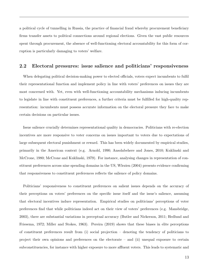a political cycle of tunnelling in Russia, the practice of financial fraud whereby procurement beneficiary firms transfer assets to political connections around regional elections. Given the vast public resources spent through procurement, the absence of well-functioning electoral accountability for this form of corruption is particularly damaging to voters' welfare.

## 2.2 Electoral pressures: issue salience and politicians' responsiveness

When delegating political decision-making power to elected officials, voters expect incumbents to fulfil their representational function and implement policy in line with voters' preferences on issues they are most concerned with. Yet, even with well-functioning accountability mechanisms inducing incumbents to legislate in line with constituent preferences, a further criteria must be fulfilled for high-quality representation: incumbents must possess accurate information on the electoral pressure they face to make certain decisions on particular issues.

Issue salience crucially determines representational quality in democracies. Politicians with re-election incentives are more responsive to voter concerns on issues important to voters due to expectations of large subsequent electoral punishment or reward. This has been widely documented by empirical studies, primarily in the American context (e.g. Arnold, 1990; Ansolabehere and Jones, 2010; Kuklinski and McCrone, 1980; McCrone and Kuklinski, 1979). For instance, analysing changes in representation of constituent preferences across nine spending domains in the US, Wlezien (2004) presents evidence confirming that responsiveness to constituent preferences reflects the salience of policy domains.

Politicians' responsiveness to constituent preferences on salient issues depends on the accuracy of their perceptions on voters' preferences on the specific issue itself and the issue's salience, assuming that electoral incentives induce representation. Empirical studies on politicians' perceptions of voter preferences find that while politicians indeed act on their view of voters' preferences (e.g. Mansbridge, 2003), there are substantial variations in perceptual accuracy (Butler and Nickerson, 2011; Hedlund and Friesema, 1972; Miller and Stokes, 1963). Pereira (2019) shows that these biases in elite perceptions of constituent preferences result from (i) social projection – denoting the tendency of politicians to project their own opinions and preferences on the electorate – and (ii) unequal exposure to certain subconstituencies, for instance with higher exposure to more affluent voters. This leads to systematic and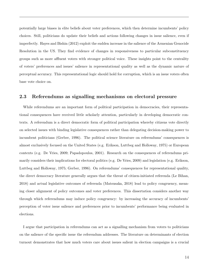potentially large biases in elite beliefs about voter preferences, which then determine incumbents' policy choices. Still, politicians do update their beliefs and actions following changes in issue salience, even if imperfectly. Hayes and Bishin (2012) exploit the sudden increase in the salience of the Armenian Genocide Resolution in the US. They find evidence of changes in responsiveness to particular subconstituency groups such as more affluent voters with stronger political voice. These insights point to the centrality of voters' preferences and issues' salience in representational quality as well as the dynamic nature of perceptual accuracy. This representational logic should hold for corruption, which is an issue voters often base vote choice on.

#### 2.3 Referendums as signalling mechanisms on electoral pressure

While referendums are an important form of political participation in democracies, their representational consequences have received little scholarly attention, particularly in developing democratic contexts. A referendum is a direct democratic form of political participation whereby citizens vote directly on selected issues with binding legislative consequences rather than delegating decision-making power to incumbent politicians (Gerber, 1996). The political science literature on referendums' consequences is almost exclusively focused on the United States (e.g. Erikson, Luttbeg and Holloway, 1975) or European contexts (e.g. De Vries, 2009; Papadopoulos, 2001). Research on the consequences of referendums primarily considers their implications for electoral politics (e.g. De Vries, 2009) and legislation (e.g. Erikson, Luttbeg and Holloway, 1975; Gerber, 1996). On referendums' consequences for representational quality, the direct democracy literature generally argues that the threat of citizen-initiated referenda (Le Bihan, 2018) and actual legislative outcomes of referenda (Matsusaka, 2018) lead to policy congruency, meaning closer alignment of policy outcomes and voter preferences. This dissertation considers another way through which referendums may induce policy congruency: by increasing the accuracy of incumbents' perception of voter issue salience and preferences prior to incumbents' performance being evaluated in elections.

I argue that participation in referendums can act as a signalling mechanism from voters to politicians on the salience of the specific issue the referendum addresses. The literature on determinants of election turnout demonstrates that how much voters care about issues salient in election campaigns is a crucial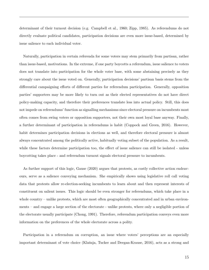determinant of their turnout decision (e.g. Campbell et al., 1960; Zipp, 1985). As referendums do not directly evaluate political candidates, participation decisions are even more issue-based, determined by issue salience to each individual voter.

Naturally, participation in certain referenda for some voters may stem primarily from partisan, rather than issue-based, motivations. In the extreme, if one party boycotts a referendum, issue salience to voters does not translate into participation for the whole voter base, with some abstaining precisely as they strongly care about the issue voted on. Generally, participation decisions' partisan basis stems from the differential campaigning efforts of different parties for referendum participation. Generally, opposition parties' supporters may be more likely to turn out as their elected representatives do not have direct policy-making capacity, and therefore their preferences translate less into actual policy. Still, this does not impede on referendums' function as signalling mechanisms since electoral pressure on incumbents most often comes from swing voters or opposition supporters, not their own most loyal base anyway. Finally, a further determinant of participation in referendums is habit (Coppock and Green, 2016). However, habit determines participation decisions in elections as well, and therefore electoral pressure is almost always concentrated among the politically active, habitually voting subset of the population. As a result, while these factors determine participation too, the effect of issue salience can still be isolated - unless boycotting takes place - and referendum turnout signals electoral pressure to incumbents.

As further support of this logic, Gause (2020) argues that protests, as costly collective action endeavours, serve as a salience conveying mechanism. She empirically shows using legislative roll call voting data that protests allow re-election-seeking incumbents to learn about and then represent interests of constituent on salient issues. This logic should be even stronger for referendums, which take place in a whole country – unlike protests, which are most often geographically concentrated and in urban environments – and engage a large section of the electorate - unlike protests, where only a negligible portion of the electorate usually participate (Chong, 1991). Therefore, referendum participation conveys even more information on the preferences of the whole electorate across a polity.

Participation in a referendum on corruption, an issue where voters' perceptions are an especially important determinant of vote choice (Klašnja, Tucker and Deegan-Krause, 2016), acts as a strong and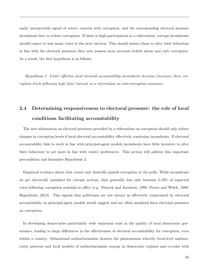easily interpretable signal of voters' concern with corruption, and the corresponding electoral pressure incumbents face to reduce corruption. If there is high participation in a referendum, corrupt incumbents should expect to lose many votes in the next election. This should induce them to alter their behaviour in line with the electoral pressures they now possess more accurate beliefs about and curb corruption. As a result, the first hypothesis is as follows.

Hypothesis 1: Under effective local electoral accountability incumbents decrease (increase) their corruption levels following high (low) turnout in a referendum on anti-corruption measures.

# 2.4 Determining responsiveness to electoral pressure: the role of local conditions facilitating accountability

The new information on electoral pressures provided by a referendum on corruption should only induce changes in corruption levels if local electoral accountability effectively constrains incumbents. If electoral accountability fails to work in line with principal-agent models incumbents have little incentive to alter their behaviour to act more in line with voters' preferences. This section will address this important precondition and formulate Hypothesis 2.

Empirical evidence shows that voters only limitedly punish corruption at the polls. While incumbents do get electorally punished for corrupt actions, they generally lose only between 5-10% of expected votes following corruption scandals in office (e.g. Dimock and Jacobson, 1995; Peters and Welch, 1980; Bagenholm, 2013). This signals that politicians are not always as effectively constrained by electoral accountability as principal-agent models would suggest and are often insulated form electoral pressures on corruption.

In developing democracies particularly wide variations exist in the quality of local democratic governance, leading to large differences in the effectiveness of electoral accountability for corruption, even within a country. Subnational authoritarianism denotes the phenomenon whereby local-level undemocratic patterns and local pockets of authoritarianism emerge in democratic regimes and co-exist with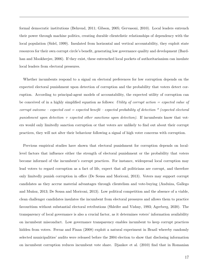formal democratic institutions (Behrend, 2011; Gibson, 2005; Gervasoni, 2010). Local leaders entrench their power through machine politics, creating durable clientelistic relationships of dependency with the local population (Sidel, 1999). Insulated from horizontal and vertical accountability, they exploit state resources for their own corrupt circle's benefit, generating low governance quality and development (Bardhan and Mookherjee, 2006). If they exist, these entrenched local pockets of authoritarianism can insulate local leaders from electoral pressures.

Whether incumbents respond to a signal on electoral preferences for low corruption depends on the expected electoral punishment upon detection of corruption and the probability that voters detect corruption. According to principal-agent models of accountability, the expected utility of corruption can be conceived of in a highly simplified equation as follows: Utility of corrupt action  $=$  expected value of corrupt outcome – expected cost  $=$  expected benefit – expected probability of detection  $*$  (expected electoral punishment upon detection  $+$  expected other sanctions upon detection). If incumbents know that voters would only limitedly sanction corruption or that voters are unlikely to find out about their corrupt practices, they will not alter their behaviour following a signal of high voter concerns with corruption.

Previous empirical studies have shown that electoral punishment for corruption depends on locallevel factors that influence either the strength of electoral punishment or the probability that voters become informed of the incumbent's corrupt practices. For instance, widespread local corruption may lead voters to regard corruption as a fact of life, expect that all politicians are corrupt, and therefore only limitedly punish corruption in office (De Sousa and Moriconi, 2013). Voters may support corrupt candidates as they accrue material advantages through clientelism and vote-buying (Anduiza, Gallego and Muñoz, 2013; De Sousa and Moriconi, 2013). Low political competition and the absence of a viable, clean challenger candidates insulates the incumbent from electoral pressures and allows them to practice favouritism without substantial electoral retributions (Shleifer and Vishny, 1993; Agerberg, 2020). The transparency of local governance is also a crucial factor, as it determines voters' information availability on incumbent misconduct. Low governance transparency enables incumbent to keep corrupt practices hidden from voters. Ferraz and Finan (2008) exploit a natural experiment in Brazil whereby randomly selected municipalities' audits were released before the 2004 election to show that disclosing information on incumbent corruption reduces incumbent vote share. Djankov et al. (2010) find that in Romanian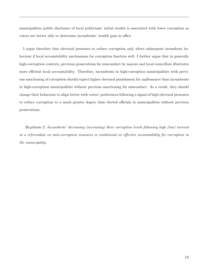municipalities public disclosure of local politicians' initial wealth is associated with lower corruption as voters are better able to determine incumbents' wealth gain in office.

I argue therefore that electoral pressures to reduce corruption only alters subsequent incumbent behaviour if local accountability mechanisms for corruption function well. I further argue that in generally high-corruption contexts, previous prosecutions for misconduct by mayors and local councillors illustrates more efficient local accountability. Therefore, incumbents in high-corruption municipalities with previous sanctioning of corruption should expect higher electoral punishment for malfeasance than incumbents in high-corruption municipalities without previous sanctioning for misconduct. As a result, they should change their behaviour to align better with voters' preferences following a signal of high electoral pressures to reduce corruption to a much greater degree than elected officials in municipalities without previous prosecutions.

Hypthesis 2: Incumbents' decreasing (increasing) their corruption levels following high (low) turnout in a referendum on anti-corruption measures is conditional on effective accountability for corruption in the municipality.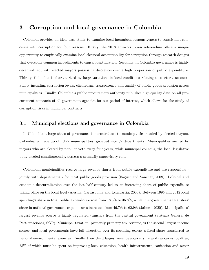## 3 Corruption and local governance in Colombia

Colombia provides an ideal case study to examine local incumbent responsiveness to constituent concerns with corruption for four reasons. Firstly, the 2018 anti-corruption referendum offers a unique opportunity to empirically examine local electoral accountability for corruption through research designs that overcome common impediments to causal identification. Secondly, in Colombia governance is highly decentralized, with elected mayors possessing discretion over a high proportion of public expenditure. Thirdly, Colombia is characterized by large variations in local conditions relating to electoral accountability including corruption levels, clientelism, transparency and quality of public goods provision across municipalities. Finally, Colombia's public procurement authority publishes high-quality data on all procurement contracts of all government agencies for our period of interest, which allows for the study of corruption risks in municipal contracts.

## 3.1 Municipal elections and governance in Colombia

In Colombia a large share of governance is decentralised to municipalities headed by elected mayors. Colombia is made up of 1,122 municipalities, grouped into 32 departments. Municipalities are led by mayors who are elected by popular vote every four years, while municipal councils, the local legislative body elected simultaneously, possess a primarily supervisory role.

Colombian municipalities receive large revenue shares from public expenditure and are responsible jointly with departments - for most public goods provision (Faguet and Sanchez, 2008). Political and economic decentralization over the last half century led to an increasing share of public expenditure taking place on the local level (Alesina, Carrasquilla and Echavarria, 2000). Between 1995 and 2012 local spending's share in total public expenditure rose from 18.5% to 36.8%, while intergovernmental transfers' share in national government expenditures increased from 46.7% to 62.9% (Jaimes, 2020). Municipalities' largest revenue source is highly regulated transfers from the central government (Sistema General de Participaciones, SGP). Municipal taxation, primarily property tax revenue, is the second largest income source, and local governments have full discretion over its spending except a fixed share transferred to regional environmental agencies. Finally, their third largest revenue source is natural resources royalties, 75% of which must be spent on improving local education, health infrastructure, sanitation and water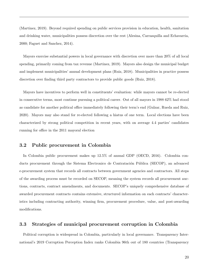(Martinez, 2019). Beyond required spending on public services provision in education, health, sanitation and drinking water, municipalities possess discretion over the rest (Alesina, Carrasquilla and Echavarria, 2000; Faguet and Sanchez, 2014).

Mayors exercise substantial powers in local governance with discretion over more than 20% of all local spending, primarily coming from tax revenue (Martinez, 2019). Mayors also design the municipal budget and implement municipalities' annual development plans (Ruiz, 2018). Municipalities in practice possess discretion over finding third party contractors to provide public goods (Ruiz, 2018).

Mayors have incentives to perform well in constituents' evaluation: while mayors cannot be re-elected in consecutive terms, most continue pursuing a political career. Out of all mayors in 1988 62% had stood as candidate for another political office immediately following their term's end (Gulzar, Rueda and Ruiz, 2020). Mayors may also stand for re-elected following a hiatus of one term. Local elections have been characterized by strong political competition in recent years, with on average 4.4 parties' candidates running for office in the 2011 mayoral election

## 3.2 Public procurement in Colombia

In Colombia public procurement makes up 12.5% of annual GDP (OECD, 2016). Colombia conducts procurement through the Sistema Electronico de Contratación Pública (SECOP), an advanced e-procurement system that records all contracts between government agencies and contractors. All steps of the awarding process must be recorded on SECOP, meaning the system records all procurement auctions, contracts, contract amendments, and documents. SECOP's uniquely comprehensive database of awarded procurement contracts contains extensive, structured information on each contracts' characteristics including contracting authority, winning firm, procurement procedure, value, and post-awarding modifications.

## 3.3 Strategies of municipal procurement corruption in Colombia

Political corruption is widespread in Colombia, particularly in local governance. Transparency International's 2019 Corruption Perception Index ranks Colombia 96th out of 180 countries (Transparency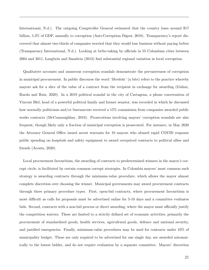International, N.d.). The outgoing Comptroller General estimated that the country loses around \$17 billion, 5.3% of GDP, annually to corruption (Anti-Corruption Digest, 2018). Transparency's report discovered that almost two-thirds of companies worried that they would lose business without paying bribes (Transparency International, N.d.). Looking at bribe-taking by officials in 55 Colombian cities between 2004 and 2011, Langbein and Sanabria (2013) find substantial regional variation in local corruption.

Qualitative accounts and numerous corruption scandals demonstrate the pervasiveness of corruption in municipal procurement. In public discourse the word 'Mordida' (a bite) refers to the practice whereby mayors ask for a slice of the value of a contract from the recipient in exchange for awarding (Gulzar, Rueda and Ruiz, 2020). In a 2019 political scandal in the city of Cartagena, a phone conversation of Vincent Blel, head of a powerful political family and former senator, was recorded in which he discussed how normally politicians and/or bureaucrats received a  $15\%$  commission from companies awarded public works contracts (McConnaughhay, 2019). Prosecutions involving mayors' corruption scandals are also frequent, though likely only a fraction of municipal corruption is prosecuted. For instance, in May 2020 the Attorney General Office issued arrest warrants for 10 mayors who abused rapid COVID response public spending on hospitals and safety equipment to award overpriced contracts to political allies and friends (Acosta, 2020).

Local procurement favouritism, the awarding of contracts to predetermined winners in the mayor's corrupt circle, is facilitated by certain common corrupt strategies. In Colombia mayors' most common such strategy is awarding contracts through the minimum-value procedure, which allows the mayor almost complete discretion over choosing the winner. Municipal governments may award procurement contracts through three primary procedure types. First, open-bid contracts, where procurement favouritism is most difficult as calls for proposals must be advertised online for 5-10 days and a committee evaluates bids. Second, contracts with a non-bid process or direct awarding, where the mayor must officially justify the competition waivers. These are limited to a strictly defined set of economic activities, primarily the procurement of standardised goods, health services, agricultural goods, defence and national security, and justified emergencies. Finally, minimum-value procedures may be used for contracts under 10% of municipality budget. These are only required to be advertised for one single day, are awarded automatically to the lowest bidder, and do not require evaluation by a separate committee. Mayors' discretion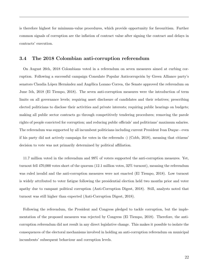is therefore highest for minimum-value procedures, which provide opportunity for favouritism. Further common signals of corruption are the inflation of contract value after signing the contract and delays in contracts' execution.

## 3.4 The 2018 Colombian anti-corruption referendum

On August 26th, 2018 Colombians voted in a referendum on seven measures aimed at curbing corruption. Following a successful campaign Consulate Popular Anticorrupción by Green Alliance party's senators Claudia López Hernández and Angélica Lozano Correa, the Senate approved the referendum on June 5th, 2018 (El Tiempo, 2018). The seven anti-corruption measures were the introduction of term limits on all governance levels; requiring asset disclosure of candidates and their relatives; prescribing elected politicians to disclose their activities and private interests; requiring public hearings on budgets; making all public sector contracts go through competitively tendering procedures; removing the parole rights of people convicted for corruption; and reducing public officials' and politicians' maximum salaries. The referendum was supported by all incumbent politicians including current President Ivan Duque - even if his party did not actively campaign for votes in the referendu -) (Cobb, 2018), meaning that citizens' decision to vote was not primarily determined by political affiliation.

11.7 million voted in the referendum and 99% of voters supported the anti-corruption measures. Yet, turnout fell 470,000 votes short of the quorum (12.1 million votes, 32% turnout), meaning the referendum was ruled invalid and the anti-corruption measures were not enacted (El Tiempo, 2018). Low turnout is widely attributed to voter fatigue following the presidential election held two months prior and voter apathy due to rampant political corruption (Anti-Corruption Digest, 2018). Still, analysts noted that turnout was still higher than expected (Anti-Corruption Digest, 2018).

Following the referendum, the President and Congress pledged to tackle corruption, but the implementation of the proposed measures was rejected by Congress (El Tiempo, 2018). Therefore, the anticorruption referendum did not result in any direct legislative change. This makes it possible to isolate the consequences of the electoral mechanisms involved in holding an anti-corruption referendum on municipal incumbents' subsequent behaviour and corruption levels.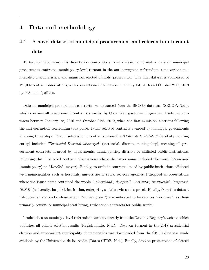## 4 Data and methodology

# 4.1 A novel dataset of municipal procurement and referendum turnout data

To test its hypothesis, this dissertation constructs a novel dataset comprised of data on municipal procurement contracts, municipality-level turnout in the anti-corruption referendum, time-variant municipality characteristics, and municipal elected officials' prosecution. The final dataset is comprised of 121,002 contract observations, with contracts awarded between January 1st, 2016 and October 27th, 2019 by 968 municipalities.

Data on municipal procurement contracts was extracted from the SECOP database (SECOP, N.d.), which contains all procurement contracts awarded by Colombian government agencies. I selected contracts between January 1st, 2016 and October 27th, 2019, when the first municipal elections following the anti-corruption referendum took place. I then selected contracts awarded by municipal governments following three steps. First, I selected only contracts where the 'Orden de la Entidad' (level of procuring entity) included *'Territorial Distrital Municipal'* (territorial, district, municipality), meaning all procurement contracts awarded by departments, municipalities, districts or affiliated public institutions. Following this, I selected contract observations where the issuer name included the word 'Municipio' (municipality) or 'Alcadia' (mayor). Finally, to exclude contracts issued by public institutions affiliated with municipalities such as hospitals, universities or social services agencies, I dropped all observations where the issuer name contained the words 'universidad', 'hospital', 'instituto', institución', 'empresa',  $E.S.E'$  (university, hospital, institution, enterprise, social services enterprise). Finally, from this dataset I dropped all contracts whose sector 'Nombre grupo') was indicated to be services 'Servicios') as these primarily constitute municipal staff hiring, rather than contracts for public works.

I coded data on municipal-level referendum turnout directly from the National Registry's website which publishes all official election results (Registraduria, N.d.). Data on turnout in the 2018 presidential election and time-variant municipality characteristics was downloaded from the CEDE database made available by the Universidad de los Andes (Datos CEDE, N.d.). Finally, data on prosecutions of elected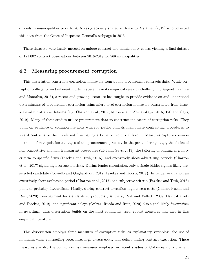officials in municipalities prior to 2015 was graciously shared with me by Martinez (2019) who collected this data from the Office of Inspector General's webpage in 2015.

These datasets were finally merged on unique contract and municipality codes, yielding a final dataset of 121,002 contract observations between 2016-2019 for 968 municipalities.

## 4.2 Measuring procurement corruption

This dissertation constructs corruption indicators from public procurement contracts data. While corruption's illegality and inherent hidden nature make its empirical research challenging (Burguet, Ganuza and Montalvo, 2016), a recent and growing literature has sought to provide evidence on and understand determinants of procurement corruption using micro-level corruption indicators constructed from largescale administrative datasets (e.g. Charron et al., 2017; Mironov and Zhuravskaya, 2016; Titl and Geys, 2019). Many of these studies utilize procurement data to construct indicators of corruption risks. They build on evidence of common methods whereby public officials manipulate contracting procedures to award contracts to their preferred firm paying a bribe or reciprocal favour. Measures capture common methods of manipulation at stages of the procurement process. In the pre-tendering stage, the choice of non-competitive and non-transparent procedures (Titl and Geys, 2019), the tailoring of bidding eligibility criteria to specific firms (Fazekas and Toth, 2016), and excessively short advertising periods (Charron et al., 2017) signal high corruption risks. During tender submission, only a single bidder signals likely preselected candidate (Coviello and Gagliarducci, 2017; Fazekas and Kocsis, 2017). In tender evaluation an excessively short evaluation period (Charron et al., 2017) and subjective criteria (Fazekas and Toth, 2016) point to probably favouritism. Finally, during contract execution high excess costs (Gulzar, Rueda and Ruiz, 2020), overpayment for standardized products (Bandiera, Prat and Valletti, 2009; David-Barrett and Fazekas, 2019), and significant delays (Gulzar, Rueda and Ruiz, 2020) also signal likely favouritism in awarding. This dissertation builds on the most commonly used, robust measures identified in this empirical literature.

This dissertation employs three measures of corruption risks as explanatory variables: the use of minimum-value contracting procedure, high excess costs, and delays during contract execution. These measures are also the corruption risk measures employed in recent studies of Colombian procurement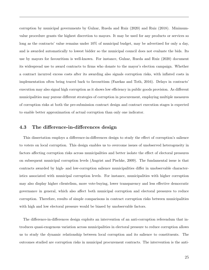corruption by municipal governments by Gulzar, Rueda and Ruiz (2020) and Ruiz (2018). Minimumvalue procedure grants the highest discretion to mayors. It may be used for any products or services so long as the contracts' value remains under 10% of municipal budget, may be advertised for only a day, and is awarded automatically to lowest bidder so the municipal council does not evaluate the bids. Its use by mayors for favouritism is well-known. For instance, Gulzar, Rueda and Ruiz (2020) document its widespread use to award contracts to firms who donate to the mayor's election campaign. Whether a contract incurred excess costs after its awarding also signals corruption risks, with inflated costs in implementation often being traced back to favouritism (Fazekas and Toth, 2016). Delays in contracts' execution may also signal high corruption as it shows low efficiency in public goods provision. As different municipalities may pursue different strategies of corruption in procurement, employing multiple measures of corruption risks at both the pre-submission contract design and contract execution stages is expected to enable better approximation of actual corruption than only one indicator.

## 4.3 The difference-in-differences design

This dissertation employs a difference-in-differences design to study the effect of corruption's salience to voters on local corruption. This design enables us to overcome issues of unobserved heterogeneity in factors affecting corruption risks across municipalities and better isolate the effect of electoral pressures on subsequent municipal corruption levels (Angrist and Pischke, 2009). The fundamental issue is that contracts awarded by high- and low-corruption salience municipalities differ in unobservable characteristics associated with municipal corruption levels. For instance, municipalities with higher corruption may also display higher clientelism, more vote-buying, lower transparency and less effective democratic governance in general, which also affect both municipal corruption and electoral pressures to reduce corruption. Therefore, results of simple comparisons in contract corruption risks between municipalities with high and low electoral pressure would be biased by unobservable factors.

The difference-in-differences design exploits an intervention of an anti-corruption referendum that introduces quasi-exogenous variation across municipalities in electoral pressure to reduce corruption allows us to study the dynamic relationship between local corruption and its salience to constituents. The outcomes studied are corruption risks in municipal procurement contracts. The intervention is the anti-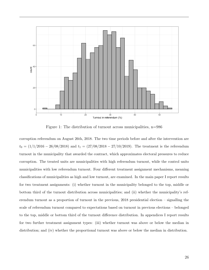

Figure 1: The distribution of turnout across municipalities,  $n=986$ 

corruption referendum on August 26th, 2018. The two time periods before and after the intervention are  $t_0 = (1/1/2016 - 26/08/2018)$  and  $t_1 = (27/08/2018 - 27/10/2019)$ . The treatment is the referendum turnout in the municipality that awarded the contract, which approximates electoral pressures to reduce corruption. The treated units are municipalities with high referendum turnout, while the control units municipalities with low referendum turnout. Four different treatment assignment mechanisms, meaning classifications of municipalities as high and low turnout, are examined. In the main paper I report results for two treatment assignments: (i) whether turnout in the municipality belonged to the top, middle or bottom third of the turnout distribution across municipalities; and (ii) whether the municipality's referendum turnout as a proportion of turnout in the previous, 2018 presidential election – signalling the scale of referendum turnout compared to expectations based on turnout in previous elections – belonged to the top, middle or bottom third of the turnout difference distribution. In appendices I report results for two further treatment assignment types: (iii) whether turnout was above or below the median in distribution; and (iv) whether the proportional turnout was above or below the median in distribution.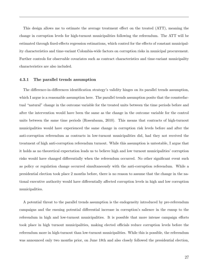This design allows me to estimate the average treatment effect on the treated (ATT), meaning the change in corruption levels for high-turnout municipalities following the referendum. The ATT will be estimated through fixed-effects regression estimations, which control for the effects of constant municipality characteristics and time-variant Colombia-wide factors on corruption risks in municipal procurement. Further controls for observable covariates such as contract characteristics and time-variant municipality characteristics are also included.

#### 4.3.1 The parallel trends assumption

The difference-in-differences identification strategy's validity hinges on its parallel trends assumption, which I argue is a reasonable assumption here. The parallel trends assumption posits that the counterfactual "natural" change in the outcome variable for the treated units between the time periods before and after the intervention would have been the same as the change in the outcome variable for the control units between the same time periods (Rosenbaum, 2010). This means that contracts of high-turnout municipalities would have experienced the same change in corruption risk levels before and after the anti-corruption referendum as contracts in low-turnout municipalities did, had they not received the treatment of high anti-corruption referendum turnout. While this assumption is untestable, I argue that it holds as no theoretical expectation leads us to believe high and low turnout municipalities' corruption risks would have changed differentially when the referendum occurred. No other significant event such as policy or regulation change occurred simultaneously with the anti-corruption referendum. While a presidential election took place 2 months before, there is no reason to assume that the change in the national executive authority would have differentially affected corruption levels in high and low corruption municipalities.

A potential threat to the parallel trends assumption is the endogeneity introduced by pre-referendum campaigns and the ensuing potential differential increase in corruption's salience in the runup to the referendum in high and low-turnout municipalities. It is possible that more intense campaign efforts took place in high turnout municipalities, making elected officials reduce corruption levels before the referendum more in high-turnout than low-turnout municipalities. While this is possible, the referendum was announced only two months prior, on June 18th and also closely followed the presidential election,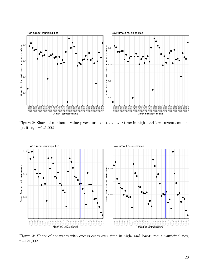

Figure 2: Share of minimum-value procedure contracts over time in high- and low-turnout municipalities,  $n=121,002$ 



Figure 3: Share of contracts with excess costs over time in high- and low-turnout municipalities, n=121,002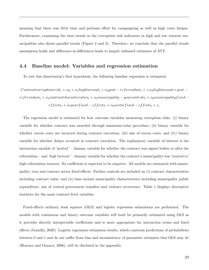meaning that there was little time and partisan effort for campaigning as well as high voter fatigue. Furthermore, examining the time trends in the corruption risk indicators in high and low turnout municipalities also shows parallel trends (Figure 2 and 3). Therefore, we conclude that the parallel trends assumption holds and difference-in-differences leads to largely unbiased estimates of ATT.

#### 4.4 Baseline model: Variables and regression estimation

To test this dissertation's first hypothesis, the following baseline regression is estimated.

 $Contract corruption risk_i = \alpha_0 + \alpha_1 high turnout_i + \alpha_2 post-referendum_i + \alpha_3 high turnout * post \emph{referendum}_{i} + \alpha_{4} contract characteristics_{i} + \alpha_{5} municipality - year controls_{i} + \alpha_{6} municipality fixed$  $effect_1 + \alpha_7 year fixed - effects_1 + \alpha_8 sector fixed - effects_1 + \varepsilon_1$ 

The regression model is estimated for four outcome variables measuring corruption risks: (i) binary variable for whether contract was awarded through minimum-value procedure; (ii) binary variable for whether excess costs are incurred during contract execution; (iii) size of excess costs; and (iv) binary variable for whether delays occurred in contract execution. The explanatory variable of interest is the interaction variable of '*postref*' – dummy variable for whether the contract was signed before or after the referendum – and 'high turnout' – dummy variable for whether the contract's municipality was 'treated to' high referendum turnout. Its coefficient is expected to be negative. All models are estimated with municipality, year and contract sector fixed-effects. Further controls are included on (i) contract characteristics including contract value; and (ii) time-variant municipality characteristics including municipality public expenditure, size of central government transfers and violence occurrence. Table 1 displays descriptive statistics for the main contract-level variables.

Fixed-effects ordinary least squares (OLS) and logistic regression estimations are performed. The models with continuous and binary outcome variables will both be primarily estimated using OLS as it provides directly interpretable coefficients and is more appropriate for interaction terms and fixed effects (Gomilla, 2020). Logistic regression estimation results, which constrain predictions of probabilities between 0 and 1 and do not suffer from bias and inconsistency of parameter estimates that OLS may do (Horrace and Oaxaca, 2006), will be disclosed in the appendix.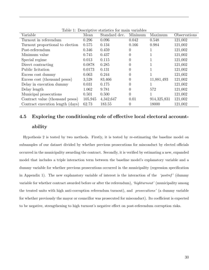| Variable                         | Mean    | rapic r. Deperiptive pragments for main variables<br>Standard dev. | Minimum        | Maximum       | Observations |
|----------------------------------|---------|--------------------------------------------------------------------|----------------|---------------|--------------|
| Turnout in referendum            | 0.296   | 0.096                                                              | 0.042          | 0.548         | 121,002      |
| Turnout proportional to election | 0.575   | 0.134                                                              | 0.166          | 0.984         | 121,002      |
| Post-referendum                  | 0.346   | 0.459                                                              | 0              |               | 121,002      |
| Minimum value                    | 0.745   | 0.437                                                              | 0              |               | 121,002      |
| Special regime                   | 0.013   | 0.115                                                              | 0              |               | 121,002      |
| Direct contracting               | 0.0878  | 0.285                                                              | 0              |               | 121,002      |
| Public licitation                | 0.0173  | 0.131                                                              | 0              |               | 121,002      |
| Excess cost dummy                | 0.063   | 0.244                                                              | 0              |               | 121,002      |
| Excess cost (thousand pesos)     | 3,528   | 83,466                                                             | 0              | 11,881,493    | 121,002      |
| Delay in execution dummy         | 0.031   | 0.175                                                              | 0              |               | 121,002      |
| Delay length                     | 1.062   | 9.781                                                              | 0              | 572           | 121,002      |
| Municipal prosecutions           | 0.501   | 0.500                                                              | $\overline{0}$ |               | 121,002      |
| Contract value (thousand pesos)  | 105,945 | 4,342,647                                                          | 0.01           | 914, 325, 831 | 121,002      |
| Contract execution length (days) | 62.73   | 183.55                                                             | 0              | 18000         | 121,002      |

Table  $1$ : Descriptive statistics for main variables

# 4.5 Exploring the conditioning role of effective local electoral accountability

Hypothesis 2 is tested by two methods. Firstly, it is tested by re-estimating the baseline model on subsamples of our dataset divided by whether previous prosecutions for misconduct by elected officials occurred in the municipality awarding the contract. Secondly, it is verified by estimating a new, expanded model that includes a triple interaction term between the baseline model's explanatory variable and a dummy variable for whether previous prosecutions occurred in the municipality (regression specification in Appendix 1). The new explanatory variable of interest is the interaction of the ' $postref'$ ' (dummy variable for whether contract awarded before or after the referendum), 'highturnout' (municipality among the treated units with high anti-corruption referendum turnout), and prosecutions' (a dummy variable for whether previously the mayor or councillor was prosecuted for misconduct). Its coefficient is expected to be negative, strengthening to high turnout's negative effect on post-referendum corruption risks.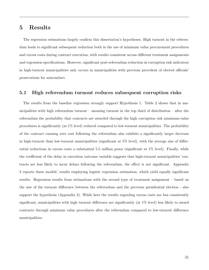## 5 Results

The regression estimations largely confirm this dissertation's hypotheses. High turnout in the referendum leads to significant subsequent reduction both in the use of minimum value procurement procedures and excess costs during contract execution, with results consistent across different treatment assignments and regression specifications. However, significant post-referendum reduction in corruption risk indicators in high-turnout municipalities only occurs in municipalities with previous precedent of elected officials' prosecutions for misconduct.

#### 5.1 High referendum turnout reduces subsequent corruption risks

The results from the baseline regression strongly support Hypothesis 1. Table 2 shows that in municipalities with high referendum turnout – meaning turnout in the top third of distribution – after the referendum the probability that contracts are awarded through the high corruption risk minimum-value procedures is significantly (at 1% level) reduced compared to low-turnout municipalities. The probability of the contract running over cost following the referendum also exhibits a significantly larger decrease in high-turnout than low-turnout municipalities (significant at 5% level), with the average size of differential reductions in excess costs a substantial 5.5 million pesos (significant at  $1\%$  level). Finally, while the coefficient of the delay in execution outcome variable suggests that high-turnout municipalities' contracts are less likely to incur delays following the referendum, the effect is not significant. Appendix 2 reports these models' results employing logistic regression estimation, which yield equally significant results. Regression results from estimations with the second type of treatment assignment – based on the size of the turnout difference between the referendum and the previous presidential election - also support the hypothesis (Appendix 3). While here the results regarding excess costs are less consistently significant, municipalities with high turnout difference are significantly (at 1% level) less likely to award contracts through minimum value procedures after the referendum compared to low-turnout difference municipalities.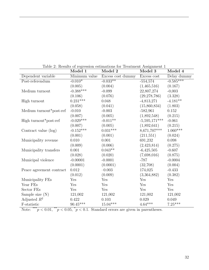|                          | Model 1              | Table 2. Tesures of regression commandies for Treatment Assignment I<br>Model 2 | Model 3         | Model 4     |
|--------------------------|----------------------|---------------------------------------------------------------------------------|-----------------|-------------|
| Dependent variable       | Minimum value        | Excess cost dummy                                                               | Excess cost     | Delay dummy |
| Post-referendum          | $-0.010*$            | $-0.033**$                                                                      | $-554,574$      | $-0.585***$ |
|                          | (0.005)              | (0.004)                                                                         | (1,465,516)     | (0.167)     |
| Medium turnout           | $-0.388***$          | $-0.099$                                                                        | 22,807,274      | $-0,003$    |
|                          | (0.106)              | (0.076)                                                                         | (29, 278, 786)  | (3.328)     |
| High turnout             | $0.231***$           | 0.048                                                                           | $-4,813,271$    | $-4.181**$  |
|                          | (0.058)              | (0.041)                                                                         | (15,860,834)    | (1.803)     |
| Medium turnout*post-ref  | $-0.010$             | $-0.003$                                                                        | $-582,961$      | 0.152       |
|                          | (0.007)              | (0.005)                                                                         | (1,892,548)     | (0.215)     |
| High turnout*post-ref    | $-0.029***$          | $-0.011**$                                                                      | $-5,595,171***$ | $-0.061$    |
|                          | (0.007)              | (0.005)                                                                         | (1,892,641)     | (0.215)     |
| Contract value (log)     | $-0.152***$          | $0.031^{***}\;$                                                                 | 8,671,707***    | $1.060***$  |
|                          | (0.001)              | (0.001)                                                                         | (211,551)       | (0.024)     |
| Municipality revenue     | 0.010                | 0.001                                                                           | 691,232         | 0.098       |
|                          | (0.009)              | (0.006)                                                                         | (2,423,814)     | (0.275)     |
| Municipality transfers   | 0.001                | $0.043**$                                                                       | $-6,425,505$    | $-0.607$    |
|                          | (0.028)              | (0.020)                                                                         | (7,698,016)     | (0.875)     |
| Municipal violence       | $-0.00001$           | $-0.0001$                                                                       | $-787$          | $-0.0004$   |
|                          | (0.0001)             | (0.0001)                                                                        | (32,708)        | (0.004)     |
| Peace agreement contract | $0.012\,$            | $-0.003$                                                                        | 174,025         | $-0.433$    |
|                          | (0.012)              | (0.009)                                                                         | (3,364,882)     | (0.382)     |
| Municipality FEs         | $\operatorname{Yes}$ | Yes                                                                             | Yes             | Yes         |
| Year FEs                 | Yes                  | Yes                                                                             | Yes             | Yes         |
| Sector FEs               | Yes                  | Yes                                                                             | Yes             | Yes         |
| Sample size $(N)$        | 121,002              | 121,002                                                                         | 121,002         | 121,002     |
| Adjusted $R^2$           | 0.422                | 0.103                                                                           | 0.029           | 0.049       |
| F-statistic              | $90.45***$           | $15.04***$                                                                      | $4.64***$       | $7.25***$   |

Table 2: Results of regression estimations for Treatment Assignment 1

Note: \*\*\* $p < 0.01$ , \*\* $p < 0.05$ ,  $p < 0.1$ . Standard errors are given in parentheses.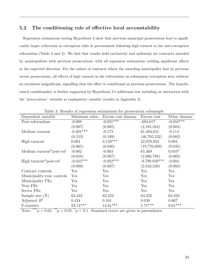## 5.2 The conditioning role of effective local accountability

Regression estimations testing Hypothesis 2 show that previous municipal prosecutions lead to significantly larger reductions in corruption risks in procurement following high turnout in the anti-corruption referendum (Table 3 and 4). We find that results hold exclusively and uniformly for contracts awarded by municipalities with previous prosecutions, with all regression estimations yielding significant effects in the expected direction. For the subset of contracts where the awarding municipality had no previous recent prosecutions, all effects of high turnout in the referendum on subsequent corruption were without an exception insignificant, signalling that the effect is conditional on previous prosecutions. The hypothesized conditionality is further supported by Hypothesis 2's additional test including an interaction with the 'prosecutions' variable as explanatory variable (results in Appendix 4).

| Dependent variable         | Minimum value        | Excess cost dummy | Excess cost     | Delay dummy |  |  |
|----------------------------|----------------------|-------------------|-----------------|-------------|--|--|
| Post-referendum            | $-0.008$             | $-0.031***$       | $-604,017$      | $-0.016***$ |  |  |
|                            | (0.007)              | (0.005)           | (2,185,584)     | (0.004)     |  |  |
| Medium turnout             | $-0.401***$          | $-0.173$          | 61,404,651      | $-0.114$    |  |  |
|                            | (0.153)              | (0.109)           | (46,705,532)    | (0.082)     |  |  |
| High turnout               | 0.001                | $0.159***$        | 22,978,933      | 0.004       |  |  |
|                            | (0.065)              | (0.046)           | (19,776,809)    | (0.035)     |  |  |
| Medium turnout*post-ref    | $-0.002$             | $-0.003$          | 65,469          | $0.010*$    |  |  |
|                            | (0.010)              | (0.007)           | (2,986,788)     | (0.005)     |  |  |
| High turnout*post-ref      | $-0.042***$          | $-0.022***$       | $-9,799,839***$ | $-0.004$    |  |  |
|                            | (0.009)              | (0.007)           | (2,842,539)     | (0.005)     |  |  |
| Contract controls          | $\operatorname{Yes}$ | Yes               | Yes             | Yes         |  |  |
| Municipality-year controls | Yes                  | Yes               | Yes             | Yes         |  |  |
| Municipality FEs           | Yes                  | Yes               | Yes             | Yes         |  |  |
| Year FEs                   | Yes                  | Yes               | Yes             | Yes         |  |  |
| Sector FEs                 | Yes                  | Yes               | Yes             | Yes         |  |  |
| Sample size $(N)$          | 63,422               | 63,422            | 63,422          | 63,422      |  |  |
| Adjusted $R^2$             | 0.434                | 0.101             | 0.038           | 0.067       |  |  |
| F-statistic                | $93.74***$           | $14.61***$        | $5.71***$       | $9.61***$   |  |  |

Table 3: Results of regression estimations for prosecution subsample

Note: \*\*\* $p < 0.01$ , \*\* $p < 0.05$ , \* $p < 0.1$ . Standard errors are given in parentheses.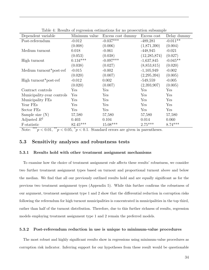| Dependent variable         | Minimum value | Excess cost dummy | Excess cost    | Delay dummy |
|----------------------------|---------------|-------------------|----------------|-------------|
| Post-referendum            | $-0.012$      | $-0.037***$       | $-489,281$     | $-0.011**$  |
|                            | (0.008)       | (0.006)           | (1,871,390)    | (0.004)     |
| Medium turnout             | 0.018         | $-0.061$          | $-448,945$     | $-0.021$    |
|                            | (0.053)       | (0.038)           | (12, 285, 874) | (0.027)     |
| High turnout               | $0.134***$    | $-0.097***$       | $-1,637,845$   | $-0.045**$  |
|                            | (0.038)       | (0.027)           | (8,853,815)    | (0.020)     |
| Medium turnout*post-ref    | $-0.015$      | $-0.002$          | $-1,105,949$   | $-0.002$    |
|                            | (0.020)       | (0.007)           | (2, 295, 394)  | (0.005)     |
| High turnout*post-ref      | $-0.012$      | 0.002             | $-549,559$     | $-0.005$    |
|                            | (0.020)       | (0.007)           | (2,393,907)    | (0.005)     |
| Contract controls          | Yes           | Yes               | Yes            | Yes         |
| Municipality-year controls | Yes           | Yes               | Yes            | Yes         |
| Municipality FEs           | Yes           | Yes               | Yes            | Yes         |
| Year FEs                   | Yes           | Yes               | Yes            | Yes         |
| Sector FEs                 | Yes           | Yes               | Yes            | Yes         |
| Sample size $(N)$          | 57,580        | 57,580            | 57,580         | 57,580      |
| Adjusted $R^2$             | 0.403         | 0.104             | 0.014          | 0.060       |
| F-statistic                | $82.45***$    | $15.08***$        | $2.75***$      | $8.74***$   |

Table 4: Results of regression estimations for no prosecution subsample

Note: \*\*\* $p < 0.01$ , \*\* $p < 0.05$ ,  $p < 0.1$ . Standard errors are given in parentheses.

#### 5.3 Sensitivity analyses and robustness tests

#### 5.3.1 Results hold with other treatment assignment mechanisms

To examine how the choice of treatment assignment rule affects these results' robustness, we consider two further treatment assignment types based on turnout and proportional turnout above and below the median. We find that all our previously outlined results hold and are equally significant as for the previous two treatment assignment types (Appendix 5). While this further confirms the robustness of our argument, treatment assignment type 1 and 2 show that the differential reduction in corruption risks following the referendum for high turnout municipalities is concentrated in municipalities in the top third, rather than half of the turnout distribution. Therefore, due to this further richness of results, regression models employing treatment assignment type 1 and 2 remain the preferred models.

#### 5.3.2 Post-referendum reduction in use is unique to minimum-value procedures

The most robust and highly significant results show in regressions using minimum-value procedures as corruption risk indicator. Inferring support for our hypotheses from these result would be questionable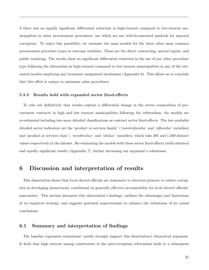if there was an equally significant differential reduction in high-turnout compared to low-turnout municipalities in other procurement procedures' use which are not well-documented methods for mayoral corruption. To reject this possibility, we estimate the same models for the three other most common procurement procedure types as outcome variables. These are the direct contracting, special regime, and public tendering. The results show no significant differential reduction in the use of any other procedure type following the referendum in high-turnout compared to low-turnout municipalities in any of the estimated models employing any treatment assignment mechanism (Appendix 6). This allows us to conclude that this effect is unique to minimum value procedures.

#### 5.3.3 Results hold with expanded sector fixed-effects

To rule out definitively that results capture a differential change in the sector composition of procurement contracts in high and low turnout municipalities following the referendum, the models are re-estimated including two more detailed classifications as contract sector fixed-effects. The two available detailed sector indicators are the 'product or services family' ('nombrefamilia' and 'idfamilia' variables) and 'product or services class' ( 'nombreclase' and 'idclase' variables), which take 295 and 1,569 distinct values respectively in the dataset. Re-estimating the models with these sector fixed-effects yields identical and equally significant results (Appendix 7), further increasing our argument's robustness.

## 6 Discussion and interpretation of results

This dissertation shows that local elected officials are responsive to electoral pressure to reduce corruption in developing democracies, conditional on generally effective accountability for local elected officials' misconduct. This section interprets this dissertation's findings, outlines the advantages and limitations of its empirical strategy, and suggests potential improvements to enhance the robustness of its causal conclusions.

## 6.1 Summary and interpretation of findings

The baseline regression estimations' results strongly support this dissertation's theoretical argument. It finds that high turnout among constituents in the anti-corruption referendum leads to a subsequent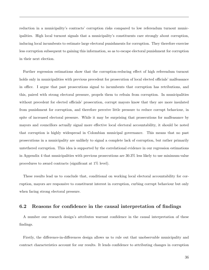reduction in a municipality's contracts' corruption risks compared to low referendum turnout municipalities. High local turnout signals that a municipality's constituents care strongly about corruption, inducing local incumbents to estimate large electoral punishments for corruption. They therefore exercise less corruption subsequent to gaining this information, so as to escape electoral punishment for corruption in their next election.

Further regression estimations show that the corruption-reducing effect of high referendum turnout holds only in municipalities with previous precedent for prosecution of local elected officials' malfeasance in office. I argue that past prosecutions signal to incumbents that corruption has retributions, and this, paired with strong electoral pressure, propels them to refrain from corruption. In municipalities without precedent for elected officials' prosecution, corrupt mayors know that they are more insulated from punishment for corruption, and therefore perceive little pressure to reduce corrupt behaviour, in spite of increased electoral pressure. While it may be surprising that prosecutions for malfeasance by mayors and councillors actually signal more effective local electoral accountability, it should be noted that corruption is highly widespread in Colombian municipal governance. This means that no past prosecutions in a municipality are unlikely to signal a complete lack of corruption, but rather primarily untethered corruption. This idea is supported by the correlational evidence in our regression estimations in Appendix 4 that municipalities with previous prosecutions are 30.3% less likely to use minimum-value procedures to award contracts (significant at 1% level).

These results lead us to conclude that, conditional on working local electoral accountability for corruption, mayors are responsive to constituent interest in corruption, curbing corrupt behaviour but only when facing strong electoral pressure.

#### 6.2 Reasons for confidence in the causal interpretation of findings

A number our research design's attributes warrant confidence in the causal interpretation of these findings.

Firstly, the difference-in-differences design allows us to rule out that unobservable municipality and contract characteristics account for our results. It lends confidence to attributing changes in corruption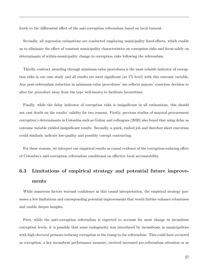levels to the differential effect of the anti-corruption referendum based on local turnout.

Secondly, all regression estimations are conducted employing municipality fixed-effects, which enable us to eliminate the effect of constant municipality characteristics on corruption risks and focus solely on determinants of within-municipality change in corruption risks following the referendum.

Thirdly, contract awarding through minimum-value procedures is the most reliable indicator of corruption risks in our case study and all results are most significant (at 1% level) with this outcome variable. Any post-referendum reduction in minimum-value procedures' use reflects mayors' conscious decision to alter the procedure away from the type well-known to facilitate favouritism.

Finally, while the delay indicator of corruption risks is insignificant in all estimations, this should not cast doubt on the results' validity for two reasons. Firstly, previous studies of mayoral procurement corruption's determinants in Colombia such as Gulzar and colleagues (2020) also found that using delay as outcome variable yielded insignificant results. Secondly, a quick, rushed job and therefore short execution could similarly indicate low-quality and possibly corrupt contracting.

For these reasons, we interpret our empirical results as causal evidence of the corruption-reducing effect of Colombia's anti-corruption referendum conditional on effective local accountability.

# 6.3 Limitations of empirical strategy and potential future improvements

While numerous factors warrant confidence in this causal interpretation, the empirical strategy possesses a few limitations and corresponding potential improvements that would further enhance robustness and enable deeper insights.

First, while the anti-corruption referendum is expected to account for most change in incumbent corruption levels, it is possible that some endogeneity was introduced by incumbents in municipalities with high electoral pressure reducing corruption in the runup to the referendum. This could have occurred as corruption, a key incumbent performance measure, received increased pre-referendum attention or as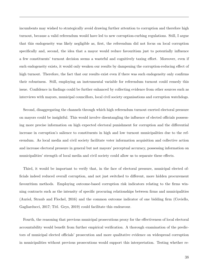incumbents may wished to strategically avoid drawing further attention to corruption and therefore high turnout, because a valid referendum would have led to new corruption-curbing regulations. Still, I argue that this endogeneity was likely negligible as, first, the referendum did not focus on local corruption specifically and, second, the idea that a mayor would reduce favouritism just to potentially influence a few constituents' turnout decision seems a wasteful and cognitively taxing effort. Moreover, even if such endogeneity exists, it would only weaken our results by dampening the corruption-reducing effect of high turnout. Therefore, the fact that our results exist even if there was such endogeneity only confirms their robustness. Still, employing an instrumental variable for referendum turnout could remedy this issue. Confidence in findings could be further enhanced by collecting evidence from other sources such as interviews with mayors, municipal councillors, local civil society organisations and corruption watchdogs.

Second, disaggregating the channels through which high referendum turnout exerted electoral pressure on mayors could be insightful. This would involve disentangling the influence of elected officials possessing more precise information on high expected electoral punishment for corruption and the differential increase in corruption's salience to constituents in high and low turnout municipalities due to the referendum. As local media and civil society facilitate voter information acquisition and collective action and increase electoral pressure in general but not mayors' perceptual accuracy, possessing information on municipalities' strength of local media and civil society could allow us to separate these effects.

Third, it would be important to verify that, in the face of electoral pressure, municipal elected officials indeed reduced overall corruption, and not just switched to different, more hidden procurement favouritism methods. Employing outcome-based corruption risk indicators relating to the firms winning contracts such as the intensity of specific procuring relationships between firms and municipalities (Auriol, Straub and Flochel, 2016) and the common outcome indicator of one bidding firm (Coviello, Gagliarducci, 2017; Titl. Geys, 2019) could facilitate this endeavour.

Fourth, the reasoning that previous municipal prosecutions proxy for the effectiveness of local electoral accountability would benefit from further empirical verification. A thorough examination of the predictors of municipal elected officials' prosecution and more qualitative evidence on widespread corruption in municipalities without previous prosecutions would support this interpretation. Testing whether re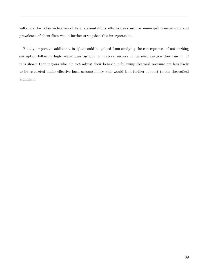sults hold for other indicators of local accountability effectiveness such as municipal transparency and prevalence of clientelism would further strengthen this interpretation.

Finally, important additional insights could be gained from studying the consequences of not curbing corruption following high referendum turnout for mayors' success in the next election they run in. If it is shown that mayors who did not adjust their behaviour following electoral pressure are less likely to be re-elected under effective local accountability, this would lend further support to our theoretical argument.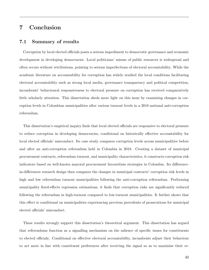## 7 Conclusion

## 7.1 Summary of results

Corruption by local elected officials poses a serious impediment to democratic governance and economic development in developing democracies. Local politicians' misuse of public resources is widespread and often occurs without retributions, pointing to serious imperfections of electoral accountability. While the academic literature on accountability for corruption has widely studied the local conditions facilitating electoral accountability such as strong local media, governance transparency and political competition, incumbents' behavioural responsiveness to electoral pressure on corruption has received comparatively little scholarly attention. This dissertation sheds more light on this issue by examining changes in corruption levels in Colombian municipalities after various turnout levels in a 2018 national anti-corruption referendum.

This dissertation's empirical inquiry finds that local elected officials are responsive to electoral pressure to reduce corruption in developing democracies, conditional on historically effective accountability for local elected officials' misconduct. Its case study compares corruption levels across municipalities before and after an anti-corruption referendum held in Colombia in 2018. Creating a dataset of municipal procurement contracts, referendum turnout, and municipality characteristics, it constructs corruption risk indicators based on well-known mayoral procurement favouritism strategies in Colombia. Its differencein-differences research design then compares the changes in municipal contracts' corruption risk levels in high and low referendum turnout municipalities following the anti-corruption referendum. Performing municipality fixed-effects regression estimations, it finds that corruption risks are significantly reduced following the referendum in high-turnout compared to low-turnout municipalities. It further shows that this effect is conditional on municipalities experiencing previous precedents of prosecutions for municipal elected officials' misconduct.

These results strongly support this dissertation's theoretical argument. This dissertation has argued that referendums function as a signalling mechanism on the salience of specific issues for constituents to elected officials. Conditional on effective electoral accountability, incumbents adjust their behaviour to act more in line with constituent preferences after receiving the signal so as to maximise their re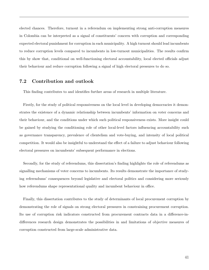elected chances. Therefore, turnout in a referendum on implementing strong anti-corruption measures in Colombia can be interpreted as a signal of constituents' concern with corruption and corresponding expected electoral punishment for corruption in each municipality. A high turnout should lead incumbents to reduce corruption levels compared to incumbents in low-turnout municipalities. The results confirm this by show that, conditional on well-functioning electoral accountability, local elected officials adjust their behaviour and reduce corruption following a signal of high electoral pressures to do so.

## 7.2 Contribution and outlook

This finding contributes to and identifies further areas of research in multiple literature.

Firstly, for the study of political responsiveness on the local level in developing democracies it demonstrates the existence of a dynamic relationship between incumbents' information on voter concerns and their behaviour, and the conditions under which such political responsiveness exists. More insight could be gained by studying the conditioning role of other local-level factors influencing accountability such as governance transparency, prevalence of clientelism and vote-buying, and intensity of local political competition. It would also be insightful to understand the effect of a failure to adjust behaviour following electoral pressures on incumbents' subsequent performance in elections.

Secondly, for the study of referendums, this dissertation's finding highlights the role of referendums as signalling mechanisms of voter concerns to incumbents. Its results demonstrate the importance of studying referendums' consequences beyond legislative and electoral politics and considering more seriously how referendums shape representational quality and incumbent behaviour in office.

Finally, this dissertation contributes to the study of determinants of local procurement corruption by demonstrating the role of signals on strong electoral pressures in constraining procurement corruption. Its use of corruption risk indicators constructed from procurement contracts data in a difference-indifferences research design demonstrates the possibilities in and limitations of objective measures of corruption constructed from large-scale administrative data.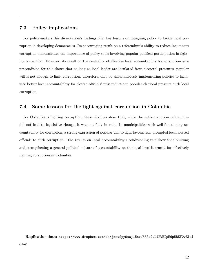## 7.3 Policy implications

For policy-makers this dissertation's findings offer key lessons on designing policy to tackle local corruption in developing democracies. Its encouraging result on a referendum's ability to reduce incumbent corruption demonstrates the importance of policy tools involving popular political participation in fighting corruption. However, its result on the centrality of effective local accountability for corruption as a precondition for this shows that as long as local leader are insulated from electoral pressures, popular will is not enough to limit corruption. Therefore, only by simultaneously implementing policies to facilitate better local accountability for elected officials' misconduct can popular electoral pressure curb local corruption.

## 7.4 Some lessons for the fight against corruption in Colombia

For Colombians fighting corruption, these findings show that, while the anti-corruption referendum did not lead to legislative change, it was not fully in vain. In municipalities with well-functioning accountability for corruption, a strong expression of popular will to fight favouritism prompted local elected officials to curb corruption. The results on local accountability's conditioning role show that building and strengthening a general political culture of accountability on the local level is crucial for effectively fighting corruption in Colombia.

Replication data: [https://www.dropbox.com/sh/jrnvfyy9caj15no/AAAe9wLdXWHIpE6p5BEF0wEI](https://www.dropbox.com/sh/jrnvfyy9caj15no/AAAe9wLdXWHIpE6p5BEF0wEIa?dl=0)a?  $d = 0$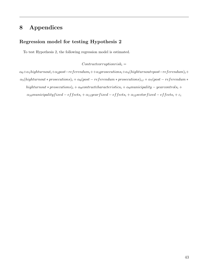# 8 Appendices

## Regression model for testing Hypothesis 2

To test Hypothesis 2, the following regression model is estimated.

 $Contract corruption risk_i =$ 

 $\alpha_0+\alpha_1$ highturnout<sub>i</sub>+ $\alpha_2$ post−referendum<sub>i</sub>++ $\alpha_3$ prosecutions<sub>i</sub>+ $\alpha_4$ (highturnout\*post−referendum)<sub>i</sub>+  $\alpha_5(highturnout * prosecutions)_i + \alpha_6 (post-referendum * prosecutions)_{i,t} + \alpha_7 (post-referendum * prosecutions)_{i,t}$ highturnout \* prosecutions)<sub>i</sub> +  $\alpha_8$ contractcharacteristics<sub>i</sub> +  $\alpha_9$ municipality – yearcontrols<sub>i</sub> +  $\label{eq:1} \alpha_{10}municipality fixed-effects_i+\alpha_{11} year fixed-effects_i+\alpha_{12} sector fixed-effects_i+\varepsilon_{i}$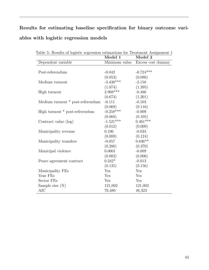# Results for estimating baseline specification for binary outcome variables with logistic regression models

|                                  | Model 1       | Model 2           |
|----------------------------------|---------------|-------------------|
| Dependent variable               | Minimum value | Excess cost dummy |
|                                  |               |                   |
| Post-referendum                  | $-0.042$      | $-0.724***$       |
|                                  | (0.053)       | (0.086)           |
| Medium turnout                   | $-3.436***$   | $-2.158$          |
|                                  | (1.074)       | (1.395)           |
| High turnout                     | 2.908***      | $-0.486$          |
|                                  | (0.674)       | (1.201)           |
| Medium turnout * post-referendum | $-0.111$      | $-0.103$          |
|                                  | (0.069)       | (0.116)           |
| High turnout * post-referendum   | $-0.258***$   | $-0.009$          |
|                                  | (0.068)       | (0.105)           |
| Contract value (log)             | $-1.521***$   | $0.461***$        |
|                                  | (0.012)       | (0.009)           |
| Municipality revenue             | 0.106         | $-0.033$          |
|                                  | (0.089)       | (0.124)           |
| Municipality transfers           | $-0.057$      | $0.836**$         |
|                                  | (0.286)       | (0.370)           |
| Municipal violence               | 0.0001        | $-0.009$          |
|                                  | (0.002)       | (0.006)           |
| Peace agreement contract         | $0.242*$      | $-0.013$          |
|                                  | (0.135)       | (0.156)           |
| Municipality FEs                 | Yes           | Yes               |
| Year FEs                         | Yes           | Yes               |
| Sector FEs                       | Yes           | Yes               |
| Sample size $(N)$                | 121,002       | 121,002           |
| <b>AIC</b>                       | 76,480        | 48,323            |

Table 5: Results of logistic regression estimations for Treatment Assignment 1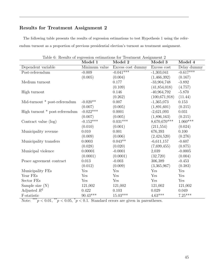## Results for Treatment Assignment 2

The following table presents the results of regression estimations to test Hypothesis 1 using the referendum turnout as a proportion of previous presidential election's turnout as treatment assignment.

|                                | Model 1       | Model 2           | Model 3       | Model 4     |
|--------------------------------|---------------|-------------------|---------------|-------------|
| Dependent variable             | Minimum value | Excess cost dummy | Excess cost   | Delay dummy |
| Post-referendum                | $-0.009$      | $-0.041***$       | $-1,303,041$  | $-0.617***$ |
|                                | (0.005)       | (0.004)           | (1,466,392)   | (0.167)     |
| Medium turnout                 |               | 0.177             | $-33,904,748$ | $-3.892$    |
|                                |               | (0.109)           | (41,854,018)  | (4.757)     |
| High turnout                   |               | 0.146             | $-40,964,792$ | $-5.870$    |
|                                |               | (0.262)           | (100,671,918) | (11.44)     |
| Mid-turnout * post-referendum  | $-0.020**$    | 0.007             | $-1,365,073$  | 0.153       |
|                                | (0.007)       | (0.005)           | (1,891,601)   | (0.215)     |
| High turnout * post-referendum | $-0.022***$   | 0.0001            | $-2,621,093$  | 0.031       |
|                                | (0.007)       | (0.005)           | (1,896,163)   | (0.215)     |
| Contract value (log)           | $-0.152***$   | $0.031^{***}\;$   | 8,670,670***  | $1.060***$  |
|                                | (0.010)       | (0.001)           | (211, 554)    | (0.024)     |
| Municipality revenue           | 0.010         | 0.001             | 676,393       | 0.100       |
|                                | (0.009)       | (0.006)           | (2,424,520)   | (0.276)     |
| Municipality transfers         | 0.0003        | $0.043**$         | $-6,611,157$  | $-0.607$    |
|                                | (0.028)       | (0.020)           | (7,699,455)   | (0.875)     |
| Municipal violence             | 0.00001       | $-0.0001$         | 2,039         | $-0.0005$   |
|                                | (0.0001)      | (0.0001)          | (32, 720)     | (0.004)     |
| Peace agreement contract       | 0.013         | $-0.003$          | 306,389       | $-0.453$    |
|                                | (0.012)       | (0.009)           | (3,365,967)   | (0.383)     |
| Municipality FEs               | Yes           | Yes               | Yes           | Yes         |
| Year FEs                       | Yes           | Yes               | Yes           | Yes         |
| Sector FEs                     | Yes           | Yes               | Yes           | Yes         |
| Sample size $(N)$              | 121,002       | 121,002           | 121,002       | 121,002     |
| Adjusted $R^2$                 | 0.422         | 0.103             | 0.029         | 0.049       |
| F-statistic                    | $90.43***$    | $15.03***$        | $4.63***$     | $7.25***$   |

Table 6: Results of regression estimations for Treatment Assignment 2

Note: \*\*\* $p < 0.01$ , \*\* $p < 0.05$ , \* $p < 0.1$ . Standard errors are given in parentheses.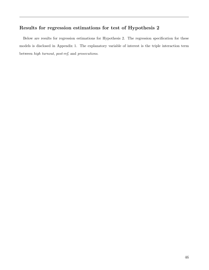## Results for regression estimations for test of Hypothesis 2

Below are results for regression estimations for Hypothesis 2. The regression specification for these models is disclosed in Appendix 1. The explanatory variable of interest is the triple interaction term between high turnout, post-ref, and prosecutions.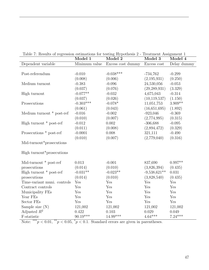| rable $\alpha$ results of respession commutations for testing $\mathbf{r}$ respectively a                                                                                                                                                                                                                                                                                                                                                                                                      | Model 1                  | Model 2           | rregulation roofgament r<br>Model 3 | Model 4     |
|------------------------------------------------------------------------------------------------------------------------------------------------------------------------------------------------------------------------------------------------------------------------------------------------------------------------------------------------------------------------------------------------------------------------------------------------------------------------------------------------|--------------------------|-------------------|-------------------------------------|-------------|
| Dependent variable                                                                                                                                                                                                                                                                                                                                                                                                                                                                             | Minimum value            | Excess cost dummy | Excess cost                         | Delay dummy |
|                                                                                                                                                                                                                                                                                                                                                                                                                                                                                                |                          |                   |                                     |             |
| Post-referendum                                                                                                                                                                                                                                                                                                                                                                                                                                                                                | $-0.010$                 | $-0.038***$       | $-734,762$                          | $-0.299$    |
|                                                                                                                                                                                                                                                                                                                                                                                                                                                                                                | (0.008)                  | (0.006)           | (2,195,931)                         | (0.250)     |
| Medium turnout                                                                                                                                                                                                                                                                                                                                                                                                                                                                                 | $-0.383$                 | $-0.096$          | 24,530,056                          | $-0.053$    |
|                                                                                                                                                                                                                                                                                                                                                                                                                                                                                                | (0.037)                  | (0.076)           | (29, 289, 931)                      | (3.329)     |
| High turnout                                                                                                                                                                                                                                                                                                                                                                                                                                                                                   | $-0.077**$               | $-0.032$          | 4,675,043                           | $-0.314$    |
|                                                                                                                                                                                                                                                                                                                                                                                                                                                                                                | (0.037)                  | (0.026)           | (10, 119, 537)                      | (1.150)     |
| Prosecutions                                                                                                                                                                                                                                                                                                                                                                                                                                                                                   | $-0.303***$              | $-0.078*$         | 11,051,753                          | $3.909**$   |
|                                                                                                                                                                                                                                                                                                                                                                                                                                                                                                | (0.061)                  | (0.043)           | (16,651,695)                        | (1.892)     |
| Medium turnout * post-ref                                                                                                                                                                                                                                                                                                                                                                                                                                                                      | $-0.016$                 | $-0.002$          | $-923,046$                          | $-0.369$    |
|                                                                                                                                                                                                                                                                                                                                                                                                                                                                                                | (0.010)                  | (0.007)           | (2,774,995)                         | (0.315)     |
| High turnout $*$ post-ref                                                                                                                                                                                                                                                                                                                                                                                                                                                                      | $-0.012$                 | 0.002             | $-306,688$                          | $-0.095$    |
|                                                                                                                                                                                                                                                                                                                                                                                                                                                                                                | (0.011)                  | (0.008)           | (2,894,472)                         | (0.329)     |
| Prosecutions * post-ref                                                                                                                                                                                                                                                                                                                                                                                                                                                                        | $-0.0001$                | 0.008             | 321,111                             | $-0.490$    |
|                                                                                                                                                                                                                                                                                                                                                                                                                                                                                                | (0.010)                  | (0.007)           | (2,779,040)                         | (0.316)     |
| Mid-turnout*prosecutions                                                                                                                                                                                                                                                                                                                                                                                                                                                                       |                          |                   |                                     |             |
|                                                                                                                                                                                                                                                                                                                                                                                                                                                                                                |                          |                   |                                     |             |
| High turnout <sup>*</sup> prosecutions                                                                                                                                                                                                                                                                                                                                                                                                                                                         |                          |                   |                                     |             |
| Mid-turnout * post-ref                                                                                                                                                                                                                                                                                                                                                                                                                                                                         | 0.013                    | $-0.001$          | 837,690                             | $0.997**$   |
| prosecutions                                                                                                                                                                                                                                                                                                                                                                                                                                                                                   | (0.014)                  | (0.010)           | (3,826,394)                         | (0.435)     |
| High turnout $*$ post-ref                                                                                                                                                                                                                                                                                                                                                                                                                                                                      | $-0.031**$               | $-0.023**$        | $-9,538,621**$                      | 0.031       |
| prosecutions                                                                                                                                                                                                                                                                                                                                                                                                                                                                                   | (0.014)                  | (0.010)           | (3,828,540)                         | (0.435)     |
| Time-variant muni. controls                                                                                                                                                                                                                                                                                                                                                                                                                                                                    | Yes                      | Yes               | Yes                                 | Yes         |
| Contract controls                                                                                                                                                                                                                                                                                                                                                                                                                                                                              | Yes                      | Yes               | Yes                                 | Yes         |
| Municipality FEs                                                                                                                                                                                                                                                                                                                                                                                                                                                                               | Yes                      | Yes               | Yes                                 | Yes         |
| Year FEs                                                                                                                                                                                                                                                                                                                                                                                                                                                                                       | Yes                      | Yes               | Yes                                 | Yes         |
| Sector FEs                                                                                                                                                                                                                                                                                                                                                                                                                                                                                     | Yes                      | Yes               | Yes                                 | Yes         |
| Sample size $(N)$                                                                                                                                                                                                                                                                                                                                                                                                                                                                              | 121,002                  | 121,002           | 121,002                             | 121,002     |
| Adjusted $R^2$                                                                                                                                                                                                                                                                                                                                                                                                                                                                                 | 0.422                    | 0.103             | 0.029                               | 0.049       |
| F-statistic<br>$\overline{\phantom{1}}$ $\overline{\phantom{1}}$ $\overline{\phantom{1}}$ $\overline{\phantom{1}}$ $\overline{\phantom{1}}$ $\overline{\phantom{1}}$ $\overline{\phantom{1}}$ $\overline{\phantom{1}}$ $\overline{\phantom{1}}$ $\overline{\phantom{1}}$ $\overline{\phantom{1}}$ $\overline{\phantom{1}}$ $\overline{\phantom{1}}$ $\overline{\phantom{1}}$ $\overline{\phantom{1}}$ $\overline{\phantom{1}}$ $\overline{\phantom{1}}$ $\overline{\phantom{1}}$ $\overline{\$ | $90.19***$<br>$^{\ast-}$ | $14.99***$        | $4.64***$                           | $7.24***$   |

Table 7: Results of regression estimations for testing Hypothesis 2 - Treatment Assignment 1

Note: \*\*\* $p < 0.01$ , \*\* $p < 0.05$ , \* $p < 0.1$ . Standard errors are given in parentheses.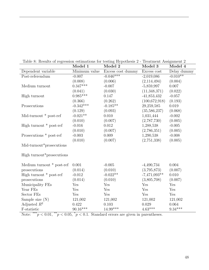|  |  | Table 8: Results of regression estimations for testing Hypothesis 2 - Treatment Assignment 2 |
|--|--|----------------------------------------------------------------------------------------------|
|  |  |                                                                                              |

| $\frac{1}{2}$ . The district of respectively continued in the column $\mathbf{r}_i$ pointed is | Model 1       | Model 2           | 11 catholic 11001 and 10<br>Model 3 | Model 4     |
|------------------------------------------------------------------------------------------------|---------------|-------------------|-------------------------------------|-------------|
| Dependent variable                                                                             | Minimum value | Excess cost dummy | Excess cost                         | Delay dummy |
| Post-referendum                                                                                | $-0.007$      | $-0.046***$       | $-2,019,086$                        | $-0.010**$  |
|                                                                                                | (0.008)       | (0.006)           | (2,114,494)                         | (0.004)     |
| Medium turnout                                                                                 | $0.347***$    | $-0.007$          | $-5,859,997$                        | 0.007       |
|                                                                                                | (0.041)       | (0.030)           | (11,348,371)                        | (0.022)     |
| High turnout                                                                                   | $0.985***$    | 0.147             | $-41,853,432$                       | $-0.057$    |
|                                                                                                | (0.366)       | (0.262)           | (100,672,918)                       | (0.193)     |
| Prosecutions                                                                                   | $-0.342***$   | $-0.185**$        | 29,259,585                          | 0.019       |
|                                                                                                | (0.129)       | (0.093)           | (35, 586, 237)                      | (0.068)     |
| Mid-turnout $*$ post-ref                                                                       | $-0.021**$    | 0.010             | 1,031,444                           | $-0.002$    |
|                                                                                                | (0.010)       | (0.007)           | (2,787,730)                         | (0.005)     |
| High turnout $*$ post-ref                                                                      | $-0.016$      | 0.012             | 1,288,538                           | $-0.005$    |
|                                                                                                | (0.010)       | (0.007)           | (2,786,351)                         | (0.005)     |
| Prosecutions * post-ref                                                                        | $-0.003$      | 0.009             | 1,290,538                           | $-0.008$    |
|                                                                                                | (0.010)       | (0.007)           | (2,751,338)                         | (0.005)     |
| Mid-turnout*prosecutions                                                                       |               |                   |                                     |             |
| High turnout <sup>*</sup> prosecutions                                                         |               |                   |                                     |             |
| Medium turnout * post-ref                                                                      | 0.001         | $-0.005$          | $-4,490,734$                        | 0.004       |
| prosecutions                                                                                   | (0.014)       | (0.010)           | (3,795,873)                         | (0.007)     |
| High turnout * post-ref                                                                        | $-0.012$      | $-0.022**$        | $-7,471,093**$                      | 0.010       |
| prosecutions                                                                                   | (0.014)       | (0.010)           | (3,805,708)                         | (0.007)     |
| Municipality FEs                                                                               | Yes           | Yes               | Yes                                 | Yes         |
| Year FEs                                                                                       | Yes           | Yes               | Yes                                 | Yes         |
| Sector FEs                                                                                     | Yes           | Yes               | Yes                                 | Yes         |
| Sample size $(N)$                                                                              | 121,002       | 121,002           | 121,002                             | 121,002     |
| Adjusted $R^2$                                                                                 | 0.422         | 0.103             | 0.029                               | 0.064       |
| F-statistic                                                                                    | $90.16***$    | $14.99***$        | $4.63***$                           | $9.34***$   |

Note: \*\*\* $p < 0.01$ , \*\* $p < 0.05$ , \* $p < 0.1$ . Standard errors are given in parentheses.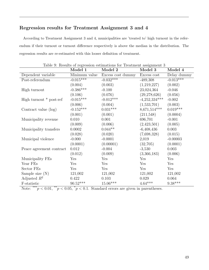## Regression results for Treatment Assignment 3 and 4

According to Treatment Assignment 3 and 4, municipalities are 'treated to' high turnout in the referendum if their turnout or turnout difference respectively is above the median in the distribution. The regression results are re-estimated with this looser definition of treatment.

|                           | Model 1                | Lable 9. Trebutto of responsibil commandio for Treatment assignment of<br>Model 2 | Model 3         | Model 4                |
|---------------------------|------------------------|-----------------------------------------------------------------------------------|-----------------|------------------------|
| Dependent variable        | Minimum value          | Excess cost dummy                                                                 | Excess cost     | Delay dummy            |
| Post-referendum           | $-0.01\overline{5***}$ | $-0.032***$                                                                       | $-489,308$      | $-0.0\overline{13***}$ |
|                           | (0.004)                | (0.003)                                                                           | (1,219,227)     | (0.002)                |
| High turnout              | $-0.386***$            | $-0.100$                                                                          | 23,024,364      | $-0.046$               |
|                           | (0.106)                | (0.076)                                                                           | (29, 278, 626)  | (0.056)                |
| High turnout $*$ post-ref | $-0.015***$            | $-0.012***$                                                                       | $-4,252,334***$ | $-0.002$               |
|                           | (0.006)                | (0.004)                                                                           | (1,533,701)     | (0.003)                |
| Contract value (log)      | $-0.152***$            | $0.031***$                                                                        | $8,671,514***$  | $0.019***$             |
|                           | (0.001)                | (0.001)                                                                           | (211,548)       | (0.0004)               |
| Municipality revenue      | 0.010                  | 0.001                                                                             | 696,701         | $-0.001$               |
|                           | (0.009)                | (0.006)                                                                           | (2,423,501)     | (0.005)                |
| Municipality transfers    | 0.0002                 | $0.044**$                                                                         | $-6,408,436$    | 0.003                  |
|                           | (0.028)                | (0.020)                                                                           | (7,698,328)     | (0.015)                |
| Municipal violence        | $-0.000$               | $-0.0001$                                                                         | 2,019           | $-0.00003$             |
|                           | (0.0001)               | (0.00001)                                                                         | (32,705)        | (0.0001)               |
| Peace agreement contract  | 0.012                  | $-0.004$                                                                          | $-3,530$        | 0.003                  |
|                           | (0.012)                | (0.009)                                                                           | (3,366,183)     | (0.006)                |
| Municipality FEs          | Yes                    | Yes                                                                               | Yes             | Yes                    |
| Year FEs                  | Yes                    | Yes                                                                               | Yes             | Yes                    |
| Sector FEs                | Yes                    | Yes                                                                               | Yes             | Yes                    |
| Sample size $(N)$         | 121,002                | 121,002                                                                           | 121,002         | 121,002                |
| Adjusted $R^2$            | 0.422                  | 0.103                                                                             | 0.029           | 0.064                  |
| F-statistic               | $90.52***$             | $15.06***$                                                                        | $4.64***$       | $9.38***$              |

Table 9: Results of regression estimations for Treatment assignment 3

Note: \*\*\* $p < 0.01$ , \*\* $p < 0.05$ ,  $p < 0.1$ . Standard errors are given in parentheses.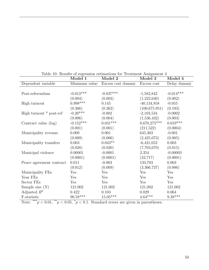|                          | Model 1     | raoio roi recognes of rogression escumacions ror rrecognicity rresignment<br>Model 2 | Model 3         | Model 4     |
|--------------------------|-------------|--------------------------------------------------------------------------------------|-----------------|-------------|
| Dependent variable       |             | Minimum value Excess cost dummy                                                      | Excess cost     | Delay dummy |
|                          |             |                                                                                      |                 |             |
| Post-referendum          | $-0.013***$ | $-0.037***$                                                                          | $-1,582,842$    | $-0.014***$ |
|                          | (0.004)     | (0.003)                                                                              | (1,222,640)     | (0.002)     |
| High turnout             | $0.998***$  | 0.145                                                                                | $-40,134,858$   | $-0.055$    |
|                          | (0.366)     | (0.262)                                                                              | (100, 675, 951) | (0.193)     |
| High turnout * post-ref  | $-0.20***$  | $-0.002$                                                                             | $-2,103,534$    | $-0.0002$   |
|                          | (0.006)     | (0.004)                                                                              | (1,536,432)     | (0.003)     |
| Contract value (log)     | $-0.152***$ | $0.031***$                                                                           | 8,670,275***    | $0.019***$  |
|                          | (0.001)     | (0.001)                                                                              | (211,522)       | (0.0004)    |
| Municipality revenue     | 0.009       | 0.001                                                                                | 645,303         | $-0.001$    |
|                          | (0.009)     | (0.006)                                                                              | (2,425,073)     | (0.005)     |
| Municipality transfers   | 0.003       | $0.043**$                                                                            | $-6,421,052$    | 0.003       |
|                          | (0.028)     | (0.020)                                                                              | (7,703,670)     | (0.015)     |
| Municipal violence       | 0.00001     | $-0.0001$                                                                            | 2,354           | $-0.00003$  |
|                          | (0.0001)    | (0.0001)                                                                             | (32, 717)       | (0.0001)    |
| Peace agreement contract | 0.011       | $-0.003$                                                                             | 133,703         | 0.003       |
|                          | (0.012)     | (0.009)                                                                              | (3,366,737)     | (0.006)     |
| Municipality FEs         | Yes         | Yes                                                                                  | Yes             | Yes         |
| Year FEs                 | Yes         | Yes                                                                                  | Yes             | Yes         |
| Sector FEs               | Yes         | Yes                                                                                  | Yes             | Yes         |
| Sample size $(N)$        | 121,002     | 121,002                                                                              | 121,002         | 121,002     |
| Adjusted $R^2$           | 0.422       | 0.103                                                                                | 0.029           | 0.064       |
| F-statistic              | $90.58***$  | $15.05***$                                                                           | $4.64***$       | $9.38***$   |

Table 10: Results of regression estimations for Treatment Assignment 4

Note: \*\*\* $p < 0.01$ , \*\* $p < 0.05$ , \* $p < 0.1$ . Standard errors are given in parentheses.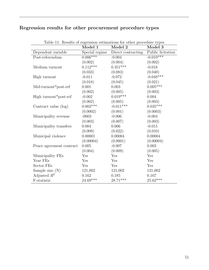## Regression results for other procurement procedure types

|                          | Model 1    | Laste II. Results of regression estimations for other procedure types<br>Model 2 | Model 3           |
|--------------------------|------------|----------------------------------------------------------------------------------|-------------------|
| Dependent variable       |            | Special regime Direct contracting                                                | Public licitation |
| $Post-referendum$        | $0.006***$ | $-0.004$                                                                         | $-0.010***$       |
|                          | (0.002)    | (0.004)                                                                          | (0.002)           |
| Medium turnout           | $0.112***$ | $0.351***$                                                                       | $-0.018$          |
|                          | (0.033)    | (0.083)                                                                          | (0.040)           |
| High turnout             | $-0.011$   | $-0.072$                                                                         | $-0.048***$       |
|                          | (0.018)    | (0.045)                                                                          | (0.021)           |
| Mid-turnout*post-ref     | 0.001      | 0.003                                                                            | $0.005***$        |
|                          | (0.002)    | (0.005)                                                                          | (0.003)           |
| High turnout*post-ref    | $-0.002$   | $0.019***$                                                                       | 0.004             |
|                          | (0.002)    | (0.005)                                                                          | (0.003)           |
| Contract value (log)     | $0.002***$ | $-0.011***$                                                                      | $0.035***$        |
|                          | (0.0002)   | (0.001)                                                                          | (0.0003)          |
| Municipality revenue     | $-0003$    | $-0.006$                                                                         | $-0.004$          |
|                          | (0.003)    | (0.007)                                                                          | (0.003)           |
| Municipality transfers   | 0.004      | 0.006                                                                            | $-0.015$          |
|                          | (0.009)    | (0.022)                                                                          | (0.010)           |
| Municipal violence       | 0.00001    | 0.00004                                                                          | 0.00004           |
|                          | (0.00004)  | (0.0001)                                                                         | (0.00004)         |
| Peace agreement contract | 0.005      | $-0.007$                                                                         | 0.003             |
|                          | (0.004)    | (0.009)                                                                          | (0.005)           |
| Municipality FEs         | Yes        | Yes                                                                              | Yes               |
| Year FEs                 | Yes        | Yes                                                                              | Yes               |
| Sector FEs               | Yes        | Yes                                                                              | Yes               |
| Sample size $(N)$        | 121,002    | 121,002                                                                          | 121,002           |
| Adjusted $R^2$           | 0.162      | 0.185                                                                            | 0.167             |
| F-statistic              | $24.69***$ | $28.71***$                                                                       | $25.62***$        |

Table 11: Results of regression estimations for other procedure types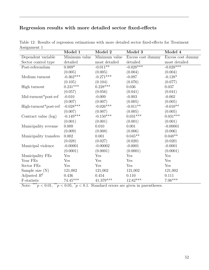## Regression results with more detailed sector fixed-effects

|                        | Model 1       | Model 2       | Model 3           | Model 4           |
|------------------------|---------------|---------------|-------------------|-------------------|
| Dependent variable     | Minimum value | Minimum value | Excess cost dummy | Excess cost dummy |
| Sector control type    | detailed      | most detailed | detailed          | most detailed     |
| Post-referendum        | $0.009*$      | $-0.011**$    | $-0.028***$       | $-0.028***$       |
|                        | (0.005)       | (0.005)       | (0.004)           | (0.004)           |
| Medium turnout         | $-0.362***$   | $-0.271***$   | $-0.097$          | $-0.128*$         |
|                        | (0.105)       | (0.104)       | (0.076)           | (0.077)           |
| High turnout           | $0.231***$    | $0.228***$    | 0.036             | 0.037             |
|                        | (0.057)       | (0.056)       | (0.041)           | (0.041)           |
| Mid-turnout*post-ref   | $-0.010$      | $-0.009$      | $-0.003$          | $-0.002$          |
|                        | (0.007)       | (0.007)       | (0.005)           | (0.005)           |
| High-turnout*post-ref  | $-0.028***$   | $-0.026***$   | $-0.011**$        | $-0.010**$        |
|                        | (0.007)       | (0.007)       | (0.005)           | (0.005)           |
| Contract value (log)   | $-0.149***$   | $-0.150***$   | $0.031***$        | $0.031***$        |
|                        | (0.001)       | (0.001)       | (0.001)           | (0.001)           |
| Municipality revenue   | 0.009         | 0.010         | 0.001             | $-0.00001$        |
|                        | (0.009)       | (0.008)       | (0.006)           | (0.006)           |
| Municipality transfers | 0.002         | 0.001         | $0.045**$         | $0.048**$         |
|                        | (0.028)       | (0.027)       | (0.020)           | (0.020)           |
| Municipal violence     | $-0.00001$    | $-0.00002$    | $-0.0001$         | $-0.0001$         |
|                        | (0.0001)      | (0.0001)      | (0.0001)          | (0.0001)          |
| Municipality FEs       | Yes           | Yes           | Yes               | Yes               |
| Year FEs               | Yes           | Yes           | Yes               | Yes               |
| Sector FEs             | Yes           | Yes           | Yes               | Yes               |
| Sample size $(N)$      | 121,002       | 121,002       | 121,002           | 121,002           |
| Adjusted $R^2$         | 0.436         | 0.454         | 0.110             | 0.111             |
| F-statistic            | $74.45***$    | $41.379***$   | $12.82***$        | $7.06***$         |

Table 12: Results of regression estimations with more detailed sector fixed-effects for Treatment Assignment 1

Note: \*\*\* $p < 0.01$ , \*\* $p < 0.05$ , \* $p < 0.1$ . Standard errors are given in parentheses.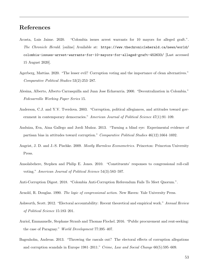# References

- Acosta, Luis Jaime. 2020. "Colombia issues arrest warrants for 10 mayors for alleged graft.". The Chronicle Herald. [online] Available at: [https://www.thechronicleherald.ca/news/world/](https://www.thechronicleherald.ca/news/world/colombia-issues-arrest-warrants-for-10-mayors-for-alleged-graft-452633/) [colombia-issues-arrest-warrants-for-10-mayors-for-alleged-graft-452633/](https://www.thechronicleherald.ca/news/world/colombia-issues-arrest-warrants-for-10-mayors-for-alleged-graft-452633/) [Last accessed 15 August 2020].
- Agerberg, Mattias. 2020. "The lesser evil? Corruption voting and the importance of clean alternatives." Comparative Political Studies 53(2):253–287.
- Alesina, Alberto, Alberto Carrasquilla and Juan Jose Echavarria. 2000. "Decentralization in Colombia." Fedesarrollo Working Paper Series 15.
- Anderson, C.J. and Y.V. Tverdova. 2003. "Corruption, political allegiances, and attitudes toward government in contemporary democracies." American Journal of Political Science 47(1):91–109.
- Anduiza, Eva, Aina Gallego and Jordi Muñoz. 2013. "Turning a blind eye: Experimental evidence of partisan bias in attitudes toward corruption." Comparative Political Studies 46(12):1664–1692.
- Angrist, J. D. and J.-S. Pischke. 2009. *Mostly Harmless Econometrics*. Princeton: Princeton University Press.
- Ansolabehere, Stephen and Philip E. Jones. 2010. "Constituents' responses to congressional roll-call voting." American Journal of Political Science 54(3):583–597.
- Anti-Corruption Digest. 2018. "Colombia Anti-Corruption Referendum Fails To Meet Quorum.".
- Arnold, R. Douglas. 1990. The logic of congressional action. New Haven: Yale University Press.
- Ashworth, Scott. 2012. "Electoral accountability: Recent theoretical and empirical work." Annual Review of Political Science 15:183–201.
- Auriol, Emmanuelle, Stephane Straub and Thomas Flochel. 2016. "Public procurement and rent-seeking: the case of Paraguay." World Development 77:395–407.
- Bagenholm, Andreas. 2013. "Throwing the rascals out? The electoral effects of corruption allegations and corruption scandals in Europe 1981–2011." Crime, Law and Social Change 60(5):595–609.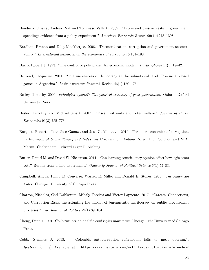- Bandiera, Oriana, Andrea Prat and Tommaso Valletti. 2009. "Active and passive waste in government spending: evidence from a policy experiment." American Economic Review 99(4):1278–1308.
- Bardhan, Pranab and Dilip Mookherjee. 2006. "Decentralization, corruption and government accountability." International handbook on the economics of corruption 6:161–188.
- Barro, Robert J. 1973. "The control of politicians: An economic model." Public Choice 14(1):19–42.
- Behrend, Jacqueline. 2011. "The unevenness of democracy at the subnational level: Provincial closed games in Argentina." Latin American Research Review 46(1):150–176.
- Besley, Timothy. 2006. Principled agents?: The political economy of good government. Oxford: Oxford University Press.
- Besley, Timothy and Michael Smart. 2007. "Fiscal restraints and voter welfare." Journal of Public Economics 91(3):755–773.
- Burguet, Roberto, Juan-Jose Ganuza and Jose G. Montalvo. 2016. The microeconomics of corruption. In Handbook of Game Theory and Industrial Organization, Volume II, ed. L.C. Corchon and M.A. Marini. Cheltenham: Edward Elgar Publishing.
- Butler, Daniel M. and David W. Nickerson. 2011. "Can learning constituency opinion affect how legislators vote? Results from a field experiment." *Quarterly Journal of Political Science* 6(1):55–83.
- Campbell, Angus, Philip E. Converse, Warren E. Miller and Donald E. Stokes. 1960. The American Voter. Chicago: University of Chicago Press.
- Charron, Nicholas, Carl Dahlström, Mihaly Fazekas and Victor Lapuente. 2017. "Careers, Connections, and Corruption Risks: Investigating the impact of bureaucratic meritocracy on public procurement processes." The Journal of Politics 79(1):89–104.
- Chong, Dennis. 1991. Collective action and the civil rights movement. Chicago: The University of Chicago Press.
- Cobb, Symmes J. 2018. "Colombia anti-corruption referendum fails to meet quorum.". Reuters. [online] Available at: [https://www.reuters.com/article/us-colombia-referendum/](https://www.reuters.com/article/us-colombia-referendum/colombian-anti-corruption-referendum-fails-to-meet-quorum-idUSKCN1LB0GI)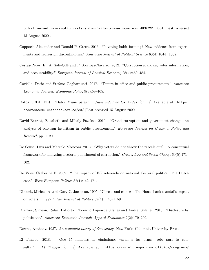[colombian-anti-corruption-referendum-fails-to-meet-quorum-idUSKCN1LB0GI](https://www.reuters.com/article/us-colombia-referendum/colombian-anti-corruption-referendum-fails-to-meet-quorum-idUSKCN1LB0GI) [Last accessed 15 August 2020].

- Coppock, Alexander and Donald P. Green. 2016. "Is voting habit forming? New evidence from experiments and regression discontinuities." American Journal of Political Science 60(4):1044=1062.
- Costas-Pérez, E., A. Solé-Ollé and P. Sorribas-Navarro. 2012. "Corruption scandals, voter information, and accountability." European Journal of Political Economy 28(4):469–484.
- Coviello, Decio and Stefano Gagliarducci. 2017. "Tenure in office and public procurement." American Economic Journal: Economic Policy 9(3):59–105.
- Datos CEDE. N.d. "Datos Municipales.". Universidad de los Andes. [online] Available at: [https:](https://datoscede.uniandes.edu.co/es/ ) [//datoscede.uniandes.edu.co/es/](https://datoscede.uniandes.edu.co/es/ ) [Last accessed 15 August 2020].
- David-Barrett, Elizabeth and Mihaly Fazekas. 2019. "Grand corruption and government change: an analysis of partisan favoritism in public procurement." European Journal on Criminal Policy and Research pp. 1–20.
- De Sousa, Luis and Marcelo Moriconi. 2013. "Why voters do not throw the rascals out?—A conceptual framework for analysing electoral punishment of corruption." Crime, Law and Social Change 60(5):471– 502.
- De Vries, Catherine E. 2009. "The impact of EU referenda on national electoral politics: The Dutch case." West European Politics 32(1):142–171.
- Dimock, Michael A. and Gary C. Jacobson. 1995. "Checks and choices: The House bank scandal's impact on voters in 1992." The Journal of Politics 57(4):1143–1159.
- Djankov, Simeon, Rafael LaPorta, Florencio Lopez-de Silanes and Andrei Shleifer. 2010. "Disclosure by politicians." American Economic Journal: Applied Economics 2(2):179–209.
- Downs, Anthony. 1957. An economic theory of democracy. New York: Columbia University Press.
- El Tiempo. 2018. "Que 15 millones de ciudadanos vayan a las urnas, reto para la consulta.". El Tiempo. [online] Available at: [https://www.eltiempo.com/politica/congreso/](https://www.eltiempo.com/politica/congreso/votacion-que-se-necesita-para-la-consulta-anticorrupcion-en-colombia-227342)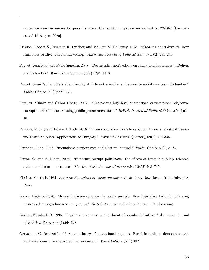[votacion-que-se-necesita-para-la-consulta-anticorrupcion-en-colombia-227342](https://www.eltiempo.com/politica/congreso/votacion-que-se-necesita-para-la-consulta-anticorrupcion-en-colombia-227342) [Last accessed 15 August 2020].

- Erikson, Robert S., Norman R. Luttbeg and William V. Holloway. 1975. "Knowing one's district: How legislators predict referendum voting." American Jounrla of Political Sceince 19(2):231–246.
- Faguet, Jean-Paul and Fabio Sanchez. 2008. "Decentralization's effects on educational outcomes in Bolivia and Colombia." World Development 36(7):1294–1316.
- Faguet, Jean-Paul and Fabio Sanchez. 2014. "Decentralization and access to social services in Colombia." Public Choice 160(1):227–249.
- Fazekas, Mihaly and Gabor Kocsis. 2017. "Uncovering high-level corruption: cross-national objective corruption risk indicators using public procurement data." British Journal of Political Science 50(1):1– 10.
- Fazekas, Mihaly and Istvan J. Toth. 2016. "From corruption to state capture: A new analystical framework with empirical applications to Hungary." Political Research Quarterly 69(2):320–334.

Ferejohn, John. 1986. "Incumbent performance and electoral control." *Public Choice* 50(1):5–25.

- Ferraz, C. and F. Finan. 2008. "Exposing corrupt politicians: the effects of Brazil's publicly released audits on electoral outcomes." The Quarterly Journal of Economics 123(2):703–745.
- Fiorina, Morris P. 1981. Retrospective voting in American national elections. New Haven: Yale University Press.
- Gause, LaGina. 2020. "Revealing issue salience via costly protest: How legislative behavior ofllowing protest advantages low-resource groups." British Journal of Political Science . Forthcoming.
- Gerber, Elisabeth R. 1996. "Legislative response to the threat of popular initiatives." American Journal of Political Science 40(1):99–128.
- Gervasoni, Carlos. 2010. "A rentier theory of subnational regimes: Fiscal federalism, democracy, and authoritarianism in the Argentine provinces." World Politics 62(1):302.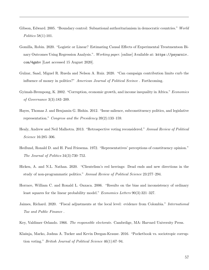- Gibson, Edward. 2005. "Boundary control: Subnational authoritarianism in democratic countries." World Politics 58(1):101.
- Gomilla, Robin. 2020. "Logistic or Linear? Estimating Causal Effects of Experimental Treatmentson Binary Outcomes Using Regression Analysis.". Working paper. [online] Available at: [https://psyarxiv.](https://psyarxiv.com/4gmbv) [com/4gmbv](https://psyarxiv.com/4gmbv) [Last accessed 15 August 2020].
- Gulzar, Saad, Miguel R. Rueda and Nelson A. Ruiz. 2020. "Can campaign contribution limits curb the influence of money in politics?" American Journal of Political Sceince . Forthcoming.
- Gyimah-Brempong, K. 2002. "Corruption, economic growth, and income inequality in Africa." Economics of Governance 3(3):183–209.
- Hayes, Thomas J. and Benjamin G. Bishin. 2012. "Issue salience, subconstituency politics, and legislative representation." Congress and the Presidency 39(2):133–159.
- Healy, Andrew and Neil Malhotra. 2013. "Retrospective voting reconsidered." Annual Review of Political Science 16:285–306.
- Hedlund, Ronald D. and H. Paul Friesema. 1972. "Representatives' perceptions of constituency opinion." The Journal of Politics 34(3):730–752.
- Hicken, A. and N.L. Nathan. 2020. "Clientelism's red herrings: Dead ends and new directions in the study of non-programmatic politics." Annual Review of Political Science 23:277–294.
- Horrace, William C. and Ronald L. Oaxaca. 2006. "Results on the bias and inconsistency of ordinary least squares for the linear probability model." Economics Letters 90(3):321-327.
- Jaimes, Richard. 2020. "Fiscal adjustments at the local level: evidence from Colombia." *International* Tax and Public Finance .
- Key, Valdimer Orlando. 1966. *The responsible electorate*. Cambrdige, MA: Harvard University Press.
- Klašnja, Marko, Joshua A. Tucker and Kevin Deegan-Krause. 2016. "Pocketbook vs. sociotropic corruption voting." British Journal of Political Science 46(1):67–94.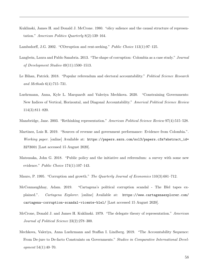Kuklinski, James H. and Donald J. McCrone. 1980. "olicy salience and the causal structure of representation." American Politics Quarterly 8(2):139–164.

Lambsdorff, J.G. 2002. "COrruption and rent-seeking." Public Choice 113(1):97–125.

- Langbein, Laura and Pablo Sanabria. 2013. "The shape of corruption: Colombia as a case study." Journal of Development Studies 49(11):1500–1513.
- Le Bihan, Patrick. 2018. "Popular referendum and electoral accountability." Political Science Research and Methods 6(4):715–731.
- Luehrmann, Anna, Kyle L. Marquardt and Valeriya Mechkova. 2020. "Constraining Governments: New Indices of Vertical, Horizontal, and Diagonal Accountability." Americal Political Science Review 114(3):811–820.
- Mansbridge, Jane. 2003. "Rethinking representation." American Political Science Review 97(4):515–528.
- Martinez, Luis R. 2019. "Sources of revenue and government performance: Evidence from Colombia.". Working paper. [online] Available at: [https://papers.ssrn.com/sol3/papers.cfm?abstract\\_id=](https://papers.ssrn.com/sol3/papers.cfm?abstract_id=3273001) [3273001](https://papers.ssrn.com/sol3/papers.cfm?abstract_id=3273001) [Last accessed 15 August 2020].
- Matsusaka, John G. 2018. "Public policy and the initiative and referendum: a survey with some new evidence." *Public Choice* 174(1):107–143.
- Mauro, P. 1995. "Corruption and growth." The Quarterly Journal of Economics 110(3):681–712.
- McConnaughhay, Adam. 2019. "Cartagena's political corruption scandal The Blel tapes explained.". Cartagena Explorer. [online] Available at: [https://www.cartagenaexplorer.com/](https://www.cartagenaexplorer.com/cartagena-corruption-scandal-vicente-blel/) [cartagena-corruption-scandal-vicente-blel/](https://www.cartagenaexplorer.com/cartagena-corruption-scandal-vicente-blel/) [Last accessed 15 August 2020].
- McCrone, Donald J. and James H. Kuklinski. 1979. "The delegate theory of representation." American Journal of Political Science 23(2):278–300.
- Mechkova, Valeriya, Anna Luehrmann and Staffan I. Lindberg. 2019. "The Accountability Sequence: From De-jure to De-facto Constraints on Governments." Studies in Comparative International Development 54(1):40–70.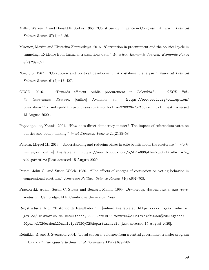- Miller, Warren E. and Donald E. Stokes. 1963. "Constituency influence in Congress." American Political Science Review 57(1):45–56.
- Mironov, Maxim and Ekaterina Zhuravskaya. 2016. "Corruption in procurement and the political cycle in tunneling: Evidence from financial transactions data." American Economic Journal: Economic Policy 8(2):287–321.
- Nye, J.S. 1967. "Corruption and political development: A cost-benefit analysis." Americal Political Science Review 61(2):417–427.
- OECD. 2016. "Towards efficient public procurement in Colombia.". OECD Public Governance Reviews. [online] Available at: [https://www.oecd.org/corruption/](https://www.oecd.org/corruption/towards-efficient-public-procurement-in-colombia-9789264252103-en.html) [towards-efficient-public-procurement-in-colombia-9789264252103-en.html](https://www.oecd.org/corruption/towards-efficient-public-procurement-in-colombia-9789264252103-en.html) [Last accessed 15 August 2020].
- Papadopoulos, Yannis. 2001. "How does direct democracy matter? The impact of referendum votes on politics and policy-making." West European Politics 24(2):35–58.
- Pereira, Miguel M.. 2019. "Understanding and reducing biases in elite beliefs about the electorate.". Working paper. [online] Available at: [https://www.dropbox.com/s/dz1u696pfbm2w5g/EliteBeliefs\\_](https://www.dropbox.com/s/dz1u696pfbm2w5g/EliteBeliefs_v20.pdf?dl=0) [v20.pdf?dl=0](https://www.dropbox.com/s/dz1u696pfbm2w5g/EliteBeliefs_v20.pdf?dl=0) [Last accessed 15 August 2020].
- Peters, John G. and Susan Welch. 1980. "The effects of charges of corruption on voting behavior in congressional elections." American Political Science Review 74(3):697–708.
- Przeworski, Adam, Susan C. Stokes and Bernard Manin. 1999. Democracy, Accountability, and representation. Cambridge, MA: Cambridge University Press.
- Registraduria. N.d. "Historico de Resultados.". . [online] Available at: [https://www.registraduria.](https://www.registraduria.gov.co/-Historico-de-Resultados,3635-.html#:~:text=En%20Colombia%20son%20elegidos%20por,el%20orden%20municipal%20y%20departamental.) [gov.co/-Historico-de-Resultados,3635-.html#:~:text=En%20Colombia%20son%20elegidos%](https://www.registraduria.gov.co/-Historico-de-Resultados,3635-.html#:~:text=En%20Colombia%20son%20elegidos%20por,el%20orden%20municipal%20y%20departamental.) [20por,el%20orden%20municipal%20y%20departamental.](https://www.registraduria.gov.co/-Historico-de-Resultados,3635-.html#:~:text=En%20Colombia%20son%20elegidos%20por,el%20orden%20municipal%20y%20departamental.) [Last accessed 15 August 2020].
- Reinikka, R. and J. Svensson. 2004. "Local capture: evidence from a central government transfer program in Uganda." The Quarterly Journal of Economics 119(2):679–705.